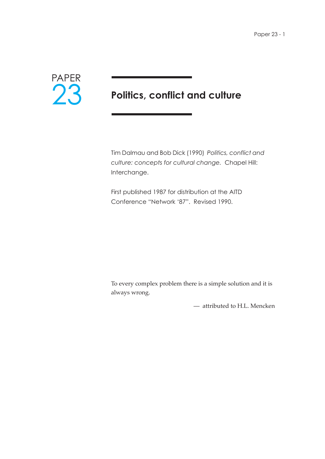

# **Politics, conflict and culture**

Tim Dalmau and Bob Dick (1990) *Politics, conflict and culture: concepts for cultural change.* Chapel Hill: Interchange.

First published 1987 for distribution at the AITD Conference "Network '87". Revised 1990.

To every complex problem there is a simple solution and it is always wrong.

— attributed to H.L. Mencken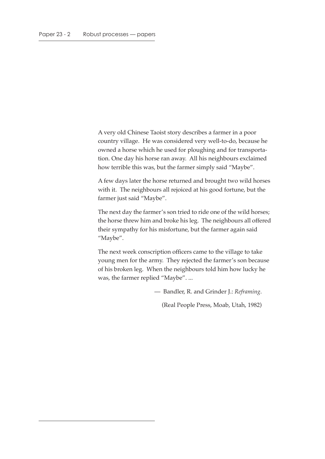A very old Chinese Taoist story describes a farmer in a poor country village. He was considered very well-to-do, because he owned a horse which he used for ploughing and for transportation. One day his horse ran away. All his neighbours exclaimed how terrible this was, but the farmer simply said "Maybe".

A few days later the horse returned and brought two wild horses with it. The neighbours all rejoiced at his good fortune, but the farmer just said "Maybe".

The next day the farmer's son tried to ride one of the wild horses; the horse threw him and broke his leg. The neighbours all offered their sympathy for his misfortune, but the farmer again said "Maybe".

The next week conscription officers came to the village to take young men for the army. They rejected the farmer's son because of his broken leg. When the neighbours told him how lucky he was, the farmer replied "Maybe". ...

— Bandler, R. and Grinder J.: *Reframing*.

(Real People Press, Moab, Utah, 1982)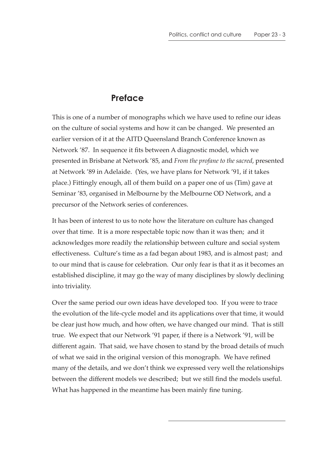#### **Preface**

This is one of a number of monographs which we have used to refine our ideas on the culture of social systems and how it can be changed. We presented an earlier version of it at the AITD Queensland Branch Conference known as Network '87. In sequence it fits between A diagnostic model, which we presented in Brisbane at Network '85, and *From the profane to the sacred*, presented at Network '89 in Adelaide. (Yes, we have plans for Network '91, if it takes place.) Fittingly enough, all of them build on a paper one of us (Tim) gave at Seminar '83, organised in Melbourne by the Melbourne OD Network, and a precursor of the Network series of conferences.

It has been of interest to us to note how the literature on culture has changed over that time. It is a more respectable topic now than it was then; and it acknowledges more readily the relationship between culture and social system effectiveness. Culture's time as a fad began about 1983, and is almost past; and to our mind that is cause for celebration. Our only fear is that it as it becomes an established discipline, it may go the way of many disciplines by slowly declining into triviality.

Over the same period our own ideas have developed too. If you were to trace the evolution of the life-cycle model and its applications over that time, it would be clear just how much, and how often, we have changed our mind. That is still true. We expect that our Network '91 paper, if there is a Network '91, will be different again. That said, we have chosen to stand by the broad details of much of what we said in the original version of this monograph. We have refined many of the details, and we don't think we expressed very well the relationships between the different models we described; but we still find the models useful. What has happened in the meantime has been mainly fine tuning.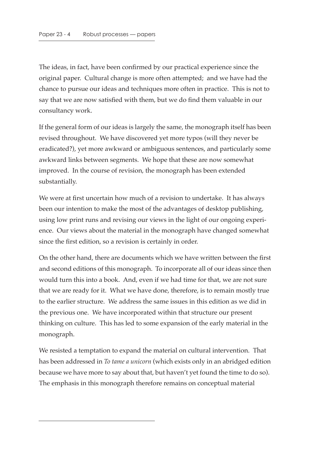The ideas, in fact, have been confirmed by our practical experience since the original paper. Cultural change is more often attempted; and we have had the chance to pursue our ideas and techniques more often in practice. This is not to say that we are now satisfied with them, but we do find them valuable in our consultancy work.

If the general form of our ideas is largely the same, the monograph itself has been revised throughout. We have discovered yet more typos (will they never be eradicated?), yet more awkward or ambiguous sentences, and particularly some awkward links between segments. We hope that these are now somewhat improved. In the course of revision, the monograph has been extended substantially.

We were at first uncertain how much of a revision to undertake. It has always been our intention to make the most of the advantages of desktop publishing, using low print runs and revising our views in the light of our ongoing experience. Our views about the material in the monograph have changed somewhat since the first edition, so a revision is certainly in order.

On the other hand, there are documents which we have written between the first and second editions of this monograph. To incorporate all of our ideas since then would turn this into a book. And, even if we had time for that, we are not sure that we are ready for it. What we have done, therefore, is to remain mostly true to the earlier structure. We address the same issues in this edition as we did in the previous one. We have incorporated within that structure our present thinking on culture. This has led to some expansion of the early material in the monograph.

We resisted a temptation to expand the material on cultural intervention. That has been addressed in *To tame a unicorn* (which exists only in an abridged edition because we have more to say about that, but haven't yet found the time to do so). The emphasis in this monograph therefore remains on conceptual material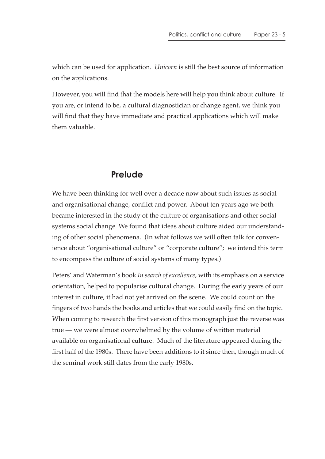which can be used for application. *Unicorn* is still the best source of information on the applications.

However, you will find that the models here will help you think about culture. If you are, or intend to be, a cultural diagnostician or change agent, we think you will find that they have immediate and practical applications which will make them valuable.

#### **Prelude**

We have been thinking for well over a decade now about such issues as social and organisational change, conflict and power. About ten years ago we both became interested in the study of the culture of organisations and other social systems.social change We found that ideas about culture aided our understanding of other social phenomena. (In what follows we will often talk for convenience about "organisational culture" or "corporate culture"; we intend this term to encompass the culture of social systems of many types.)

Peters' and Waterman's book *In search of excellence*, with its emphasis on a service orientation, helped to popularise cultural change. During the early years of our interest in culture, it had not yet arrived on the scene. We could count on the fingers of two hands the books and articles that we could easily find on the topic. When coming to research the first version of this monograph just the reverse was true — we were almost overwhelmed by the volume of written material available on organisational culture. Much of the literature appeared during the first half of the 1980s. There have been additions to it since then, though much of the seminal work still dates from the early 1980s.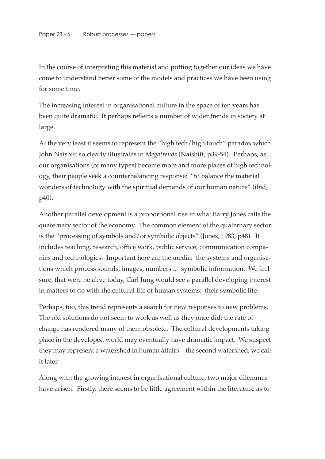In the course of interpreting this material and putting together our ideas we have come to understand better some of the models and practices we have been using for some time.

The increasing interest in organisational culture in the space of ten years has been quite dramatic. It perhaps reflects a number of wider trends in society at large.

At the very least it seems to represent the "high tech/high touch" paradox which John Naisbitt so clearly illustrates in *Megatrends* (Naisbitt, p39-54). Perhaps, as our organisations (of many types) become more and more places of high technology, their people seek a counterbalancing response: "to balance the material wonders of technology with the spiritual demands of our human nature" (ibid, p40).

Another parallel development is a proportional rise in what Barry Jones calls the quaternary sector of the economy. The common element of the quaternary sector is the "processing of symbols and/or symbolic objects" (Jones, 1983, p48). It includes teaching, research, office work, public service, communication companies and technologies. Important here are the media: the systems and organisations which process sounds, images, numbers ... symbolic information. We feel sure, that were he alive today, Carl Jung would see a parallel developing interest in matters to do with the cultural life of human systems: their symbolic life.

Perhaps, too, this trend represents a search for new responses to new problems. The old solutions do not seem to work as well as they once did: the rate of change has rendered many of them obsolete. The cultural developments taking place in the developed world may eventually have dramatic impact. We suspect they may represent a watershed in human affairs—the second watershed, we call it later.

Along with the growing interest in organisational culture, two major dilemmas have arisen. Firstly, there seems to be little agreement within the literature as to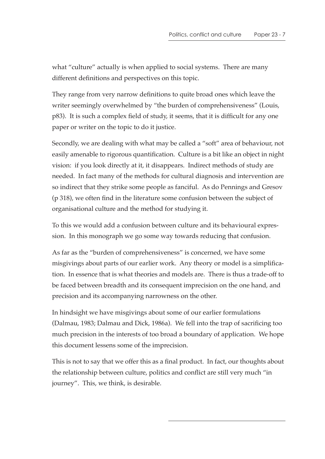what "culture" actually is when applied to social systems. There are many different definitions and perspectives on this topic.

They range from very narrow definitions to quite broad ones which leave the writer seemingly overwhelmed by "the burden of comprehensiveness" (Louis, p83). It is such a complex field of study, it seems, that it is difficult for any one paper or writer on the topic to do it justice.

Secondly, we are dealing with what may be called a "soft" area of behaviour, not easily amenable to rigorous quantification. Culture is a bit like an object in night vision: if you look directly at it, it disappears. Indirect methods of study are needed. In fact many of the methods for cultural diagnosis and intervention are so indirect that they strike some people as fanciful. As do Pennings and Gresov (p 318), we often find in the literature some confusion between the subject of organisational culture and the method for studying it.

To this we would add a confusion between culture and its behavioural expression. In this monograph we go some way towards reducing that confusion.

As far as the "burden of comprehensiveness" is concerned, we have some misgivings about parts of our earlier work. Any theory or model is a simplification. In essence that is what theories and models are. There is thus a trade-off to be faced between breadth and its consequent imprecision on the one hand, and precision and its accompanying narrowness on the other.

In hindsight we have misgivings about some of our earlier formulations (Dalmau, 1983; Dalmau and Dick, 1986a). We fell into the trap of sacrificing too much precision in the interests of too broad a boundary of application. We hope this document lessens some of the imprecision.

This is not to say that we offer this as a final product. In fact, our thoughts about the relationship between culture, politics and conflict are still very much "in journey". This, we think, is desirable.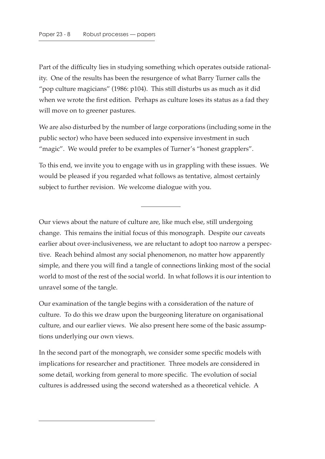Part of the difficulty lies in studying something which operates outside rationality. One of the results has been the resurgence of what Barry Turner calls the "pop culture magicians" (1986: p104). This still disturbs us as much as it did when we wrote the first edition. Perhaps as culture loses its status as a fad they will move on to greener pastures.

We are also disturbed by the number of large corporations (including some in the public sector) who have been seduced into expensive investment in such "magic". We would prefer to be examples of Turner's "honest grapplers".

To this end, we invite you to engage with us in grappling with these issues. We would be pleased if you regarded what follows as tentative, almost certainly subject to further revision. We welcome dialogue with you.

Our views about the nature of culture are, like much else, still undergoing change. This remains the initial focus of this monograph. Despite our caveats earlier about over-inclusiveness, we are reluctant to adopt too narrow a perspective. Reach behind almost any social phenomenon, no matter how apparently simple, and there you will find a tangle of connections linking most of the social world to most of the rest of the social world. In what follows it is our intention to unravel some of the tangle.

Our examination of the tangle begins with a consideration of the nature of culture. To do this we draw upon the burgeoning literature on organisational culture, and our earlier views. We also present here some of the basic assumptions underlying our own views.

In the second part of the monograph, we consider some specific models with implications for researcher and practitioner. Three models are considered in some detail, working from general to more specific. The evolution of social cultures is addressed using the second watershed as a theoretical vehicle. A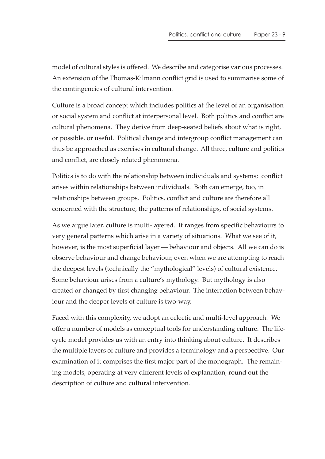model of cultural styles is offered. We describe and categorise various processes. An extension of the Thomas-Kilmann conflict grid is used to summarise some of the contingencies of cultural intervention.

Culture is a broad concept which includes politics at the level of an organisation or social system and conflict at interpersonal level. Both politics and conflict are cultural phenomena. They derive from deep-seated beliefs about what is right, or possible, or useful. Political change and intergroup conflict management can thus be approached as exercises in cultural change. All three, culture and politics and conflict, are closely related phenomena.

Politics is to do with the relationship between individuals and systems; conflict arises within relationships between individuals. Both can emerge, too, in relationships between groups. Politics, conflict and culture are therefore all concerned with the structure, the patterns of relationships, of social systems.

As we argue later, culture is multi-layered. It ranges from specific behaviours to very general patterns which arise in a variety of situations. What we see of it, however, is the most superficial layer — behaviour and objects. All we can do is observe behaviour and change behaviour, even when we are attempting to reach the deepest levels (technically the "mythological" levels) of cultural existence. Some behaviour arises from a culture's mythology. But mythology is also created or changed by first changing behaviour. The interaction between behaviour and the deeper levels of culture is two-way.

Faced with this complexity, we adopt an eclectic and multi-level approach. We offer a number of models as conceptual tools for understanding culture. The lifecycle model provides us with an entry into thinking about culture. It describes the multiple layers of culture and provides a terminology and a perspective. Our examination of it comprises the first major part of the monograph. The remaining models, operating at very different levels of explanation, round out the description of culture and cultural intervention.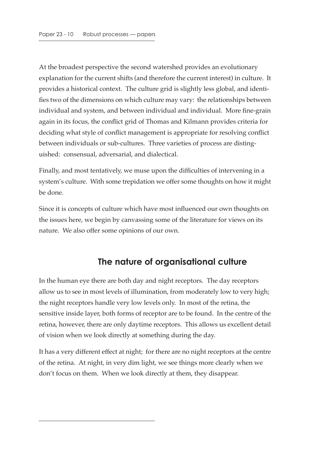At the broadest perspective the second watershed provides an evolutionary explanation for the current shifts (and therefore the current interest) in culture. It provides a historical context. The culture grid is slightly less global, and identifies two of the dimensions on which culture may vary: the relationships between individual and system, and between individual and individual. More fine-grain again in its focus, the conflict grid of Thomas and Kilmann provides criteria for deciding what style of conflict management is appropriate for resolving conflict between individuals or sub-cultures. Three varieties of process are distinguished: consensual, adversarial, and dialectical.

Finally, and most tentatively, we muse upon the difficulties of intervening in a system's culture. With some trepidation we offer some thoughts on how it might be done.

Since it is concepts of culture which have most influenced our own thoughts on the issues here, we begin by canvassing some of the literature for views on its nature. We also offer some opinions of our own.

## **The nature of organisational culture**

In the human eye there are both day and night receptors. The day receptors allow us to see in most levels of illumination, from moderately low to very high; the night receptors handle very low levels only. In most of the retina, the sensitive inside layer, both forms of receptor are to be found. In the centre of the retina, however, there are only daytime receptors. This allows us excellent detail of vision when we look directly at something during the day.

It has a very different effect at night; for there are no night receptors at the centre of the retina. At night, in very dim light, we see things more clearly when we don't focus on them. When we look directly at them, they disappear.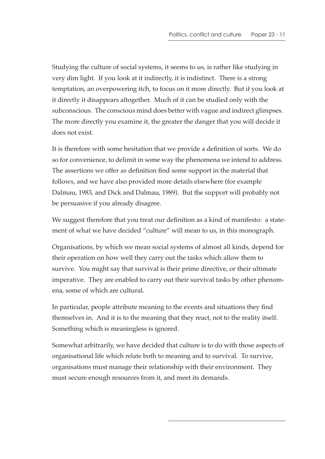Studying the culture of social systems, it seems to us, is rather like studying in very dim light. If you look at it indirectly, it is indistinct. There is a strong temptation, an overpowering itch, to focus on it more directly. But if you look at it directly it disappears altogether. Much of it can be studied only with the subconscious. The conscious mind does better with vague and indirect glimpses. The more directly you examine it, the greater the danger that you will decide it does not exist.

It is therefore with some hesitation that we provide a definition of sorts. We do so for convenience, to delimit in some way the phenomena we intend to address. The assertions we offer as definition find some support in the material that follows, and we have also provided more details elsewhere (for example Dalmau, 1983, and Dick and Dalmau, 1989). But the support will probably not be persuasive if you already disagree.

We suggest therefore that you treat our definition as a kind of manifesto: a statement of what we have decided "culture" will mean to us, in this monograph.

Organisations, by which we mean social systems of almost all kinds, depend for their operation on how well they carry out the tasks which allow them to survive. You might say that survival is their prime directive, or their ultimate imperative. They are enabled to carry out their survival tasks by other phenomena, some of which are cultural.

In particular, people attribute meaning to the events and situations they find themselves in. And it is to the meaning that they react, not to the reality itself. Something which is meaningless is ignored.

Somewhat arbitrarily, we have decided that culture is to do with those aspects of organisational life which relate both to meaning and to survival. To survive, organisations must manage their relationship with their environment. They must secure enough resources from it, and meet its demands.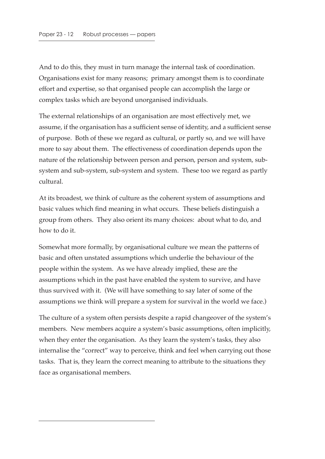And to do this, they must in turn manage the internal task of coordination. Organisations exist for many reasons; primary amongst them is to coordinate effort and expertise, so that organised people can accomplish the large or complex tasks which are beyond unorganised individuals.

The external relationships of an organisation are most effectively met, we assume, if the organisation has a sufficient sense of identity, and a sufficient sense of purpose. Both of these we regard as cultural, or partly so, and we will have more to say about them. The effectiveness of coordination depends upon the nature of the relationship between person and person, person and system, subsystem and sub-system, sub-system and system. These too we regard as partly cultural.

At its broadest, we think of culture as the coherent system of assumptions and basic values which find meaning in what occurs. These beliefs distinguish a group from others. They also orient its many choices: about what to do, and how to do it.

Somewhat more formally, by organisational culture we mean the patterns of basic and often unstated assumptions which underlie the behaviour of the people within the system. As we have already implied, these are the assumptions which in the past have enabled the system to survive, and have thus survived with it. (We will have something to say later of some of the assumptions we think will prepare a system for survival in the world we face.)

The culture of a system often persists despite a rapid changeover of the system's members. New members acquire a system's basic assumptions, often implicitly, when they enter the organisation. As they learn the system's tasks, they also internalise the "correct" way to perceive, think and feel when carrying out those tasks. That is, they learn the correct meaning to attribute to the situations they face as organisational members.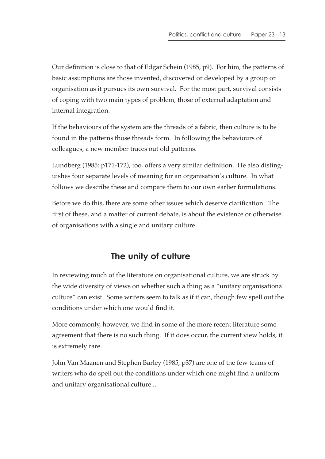Our definition is close to that of Edgar Schein (1985, p9). For him, the patterns of basic assumptions are those invented, discovered or developed by a group or organisation as it pursues its own survival. For the most part, survival consists of coping with two main types of problem, those of external adaptation and internal integration.

If the behaviours of the system are the threads of a fabric, then culture is to be found in the patterns those threads form. In following the behaviours of colleagues, a new member traces out old patterns.

Lundberg (1985: p171-172), too, offers a very similar definition. He also distinguishes four separate levels of meaning for an organisation's culture. In what follows we describe these and compare them to our own earlier formulations.

Before we do this, there are some other issues which deserve clarification. The first of these, and a matter of current debate, is about the existence or otherwise of organisations with a single and unitary culture.

## **The unity of culture**

In reviewing much of the literature on organisational culture, we are struck by the wide diversity of views on whether such a thing as a "unitary organisational culture" can exist. Some writers seem to talk as if it can, though few spell out the conditions under which one would find it.

More commonly, however, we find in some of the more recent literature some agreement that there is no such thing. If it does occur, the current view holds, it is extremely rare.

John Van Maanen and Stephen Barley (1985, p37) are one of the few teams of writers who do spell out the conditions under which one might find a uniform and unitary organisational culture ...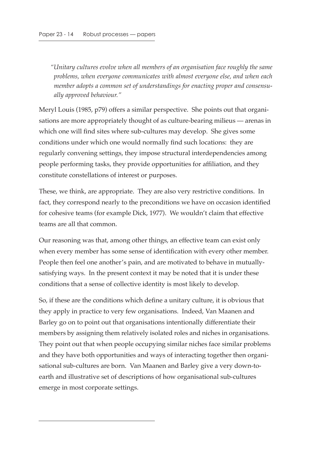*"Unitary cultures evolve when all members of an organisation face roughly the same problems, when everyone communicates with almost everyone else, and when each member adopts a common set of understandings for enacting proper and consensually approved behaviour."*

Meryl Louis (1985, p79) offers a similar perspective. She points out that organisations are more appropriately thought of as culture-bearing milieus — arenas in which one will find sites where sub-cultures may develop. She gives some conditions under which one would normally find such locations: they are regularly convening settings, they impose structural interdependencies among people performing tasks, they provide opportunities for affiliation, and they constitute constellations of interest or purposes.

These, we think, are appropriate. They are also very restrictive conditions. In fact, they correspond nearly to the preconditions we have on occasion identified for cohesive teams (for example Dick, 1977). We wouldn't claim that effective teams are all that common.

Our reasoning was that, among other things, an effective team can exist only when every member has some sense of identification with every other member. People then feel one another's pain, and are motivated to behave in mutuallysatisfying ways. In the present context it may be noted that it is under these conditions that a sense of collective identity is most likely to develop.

So, if these are the conditions which define a unitary culture, it is obvious that they apply in practice to very few organisations. Indeed, Van Maanen and Barley go on to point out that organisations intentionally differentiate their members by assigning them relatively isolated roles and niches in organisations. They point out that when people occupying similar niches face similar problems and they have both opportunities and ways of interacting together then organisational sub-cultures are born. Van Maanen and Barley give a very down-toearth and illustrative set of descriptions of how organisational sub-cultures emerge in most corporate settings.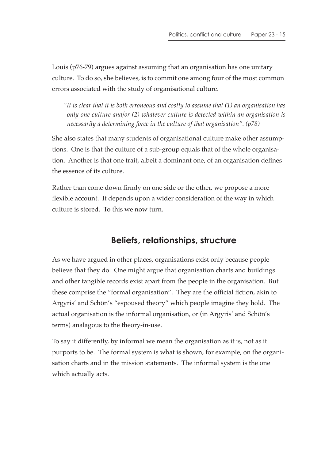Louis (p76-79) argues against assuming that an organisation has one unitary culture. To do so, she believes, is to commit one among four of the most common errors associated with the study of organisational culture.

*"It is clear that it is both erroneous and costly to assume that (1) an organisation has only one culture and/or (2) whatever culture is detected within an organisation is necessarily a determining force in the culture of that organisation". (p78)*

She also states that many students of organisational culture make other assumptions. One is that the culture of a sub-group equals that of the whole organisation. Another is that one trait, albeit a dominant one, of an organisation defines the essence of its culture.

Rather than come down firmly on one side or the other, we propose a more flexible account. It depends upon a wider consideration of the way in which culture is stored. To this we now turn.

## **Beliefs, relationships, structure**

As we have argued in other places, organisations exist only because people believe that they do. One might argue that organisation charts and buildings and other tangible records exist apart from the people in the organisation. But these comprise the "formal organisation". They are the official fiction, akin to Argyris' and Schön's "espoused theory" which people imagine they hold. The actual organisation is the informal organisation, or (in Argyris' and Schön's terms) analagous to the theory-in-use.

To say it differently, by informal we mean the organisation as it is, not as it purports to be. The formal system is what is shown, for example, on the organisation charts and in the mission statements. The informal system is the one which actually acts.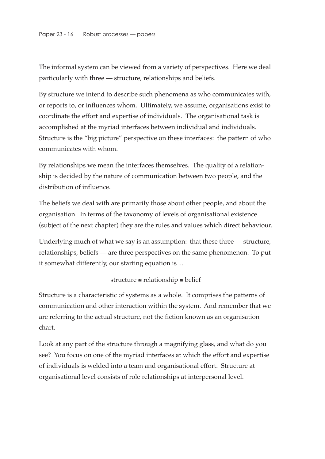The informal system can be viewed from a variety of perspectives. Here we deal particularly with three — structure, relationships and beliefs.

By structure we intend to describe such phenomena as who communicates with, or reports to, or influences whom. Ultimately, we assume, organisations exist to coordinate the effort and expertise of individuals. The organisational task is accomplished at the myriad interfaces between individual and individuals. Structure is the "big picture" perspective on these interfaces: the pattern of who communicates with whom.

By relationships we mean the interfaces themselves. The quality of a relationship is decided by the nature of communication between two people, and the distribution of influence.

The beliefs we deal with are primarily those about other people, and about the organisation. In terms of the taxonomy of levels of organisational existence (subject of the next chapter) they are the rules and values which direct behaviour.

Underlying much of what we say is an assumption: that these three — structure, relationships, beliefs — are three perspectives on the same phenomenon. To put it somewhat differently, our starting equation is ...

#### structure ≅ relationship ≅ belief

Structure is a characteristic of systems as a whole. It comprises the patterns of communication and other interaction within the system. And remember that we are referring to the actual structure, not the fiction known as an organisation chart.

Look at any part of the structure through a magnifying glass, and what do you see? You focus on one of the myriad interfaces at which the effort and expertise of individuals is welded into a team and organisational effort. Structure at organisational level consists of role relationships at interpersonal level.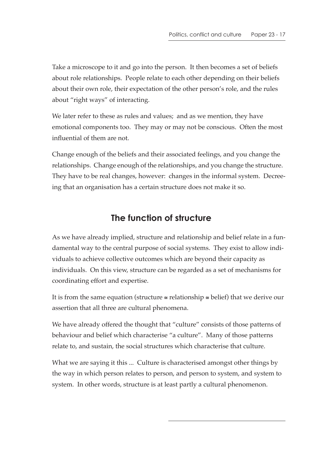Take a microscope to it and go into the person. It then becomes a set of beliefs about role relationships. People relate to each other depending on their beliefs about their own role, their expectation of the other person's role, and the rules about "right ways" of interacting.

We later refer to these as rules and values; and as we mention, they have emotional components too. They may or may not be conscious. Often the most influential of them are not.

Change enough of the beliefs and their associated feelings, and you change the relationships. Change enough of the relationships, and you change the structure. They have to be real changes, however: changes in the informal system. Decreeing that an organisation has a certain structure does not make it so.

## **The function of structure**

As we have already implied, structure and relationship and belief relate in a fundamental way to the central purpose of social systems. They exist to allow individuals to achieve collective outcomes which are beyond their capacity as individuals. On this view, structure can be regarded as a set of mechanisms for coordinating effort and expertise.

It is from the same equation (structure  $\approx$  relationship  $\approx$  belief) that we derive our assertion that all three are cultural phenomena.

We have already offered the thought that "culture" consists of those patterns of behaviour and belief which characterise "a culture". Many of those patterns relate to, and sustain, the social structures which characterise that culture.

What we are saying it this ... Culture is characterised amongst other things by the way in which person relates to person, and person to system, and system to system. In other words, structure is at least partly a cultural phenomenon.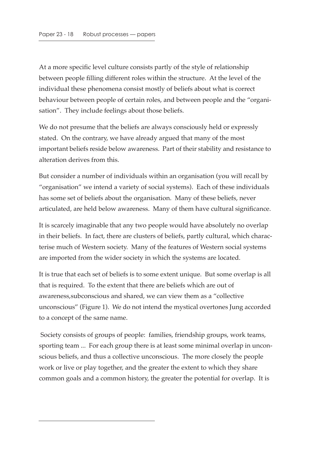At a more specific level culture consists partly of the style of relationship between people filling different roles within the structure. At the level of the individual these phenomena consist mostly of beliefs about what is correct behaviour between people of certain roles, and between people and the "organisation". They include feelings about those beliefs.

We do not presume that the beliefs are always consciously held or expressly stated. On the contrary, we have already argued that many of the most important beliefs reside below awareness. Part of their stability and resistance to alteration derives from this.

But consider a number of individuals within an organisation (you will recall by "organisation" we intend a variety of social systems). Each of these individuals has some set of beliefs about the organisation. Many of these beliefs, never articulated, are held below awareness. Many of them have cultural significance.

It is scarcely imaginable that any two people would have absolutely no overlap in their beliefs. In fact, there are clusters of beliefs, partly cultural, which characterise much of Western society. Many of the features of Western social systems are imported from the wider society in which the systems are located.

It is true that each set of beliefs is to some extent unique. But some overlap is all that is required. To the extent that there are beliefs which are out of awareness,subconscious and shared, we can view them as a "collective unconscious" (Figure 1). We do not intend the mystical overtones Jung accorded to a concept of the same name.

 Society consists of groups of people: families, friendship groups, work teams, sporting team ... For each group there is at least some minimal overlap in unconscious beliefs, and thus a collective unconscious. The more closely the people work or live or play together, and the greater the extent to which they share common goals and a common history, the greater the potential for overlap. It is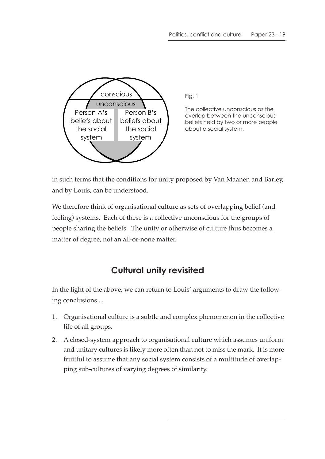

Fig. 1

The collective unconscious as the overlap between the unconscious beliefs held by two or more people about a social system.

in such terms that the conditions for unity proposed by Van Maanen and Barley, and by Louis, can be understood.

We therefore think of organisational culture as sets of overlapping belief (and feeling) systems. Each of these is a collective unconscious for the groups of people sharing the beliefs. The unity or otherwise of culture thus becomes a matter of degree, not an all-or-none matter.

## **Cultural unity revisited**

In the light of the above, we can return to Louis' arguments to draw the following conclusions ...

- 1. Organisational culture is a subtle and complex phenomenon in the collective life of all groups.
- 2. A closed-system approach to organisational culture which assumes uniform and unitary cultures is likely more often than not to miss the mark. It is more fruitful to assume that any social system consists of a multitude of overlapping sub-cultures of varying degrees of similarity.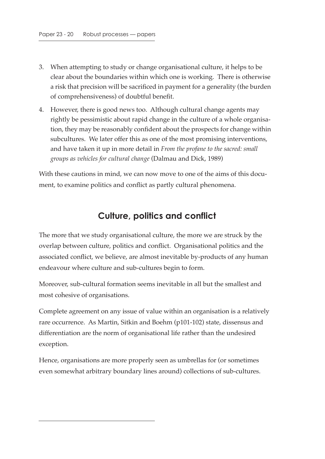- 3. When attempting to study or change organisational culture, it helps to be clear about the boundaries within which one is working. There is otherwise a risk that precision will be sacrificed in payment for a generality (the burden of comprehensiveness) of doubtful benefit.
- 4. However, there is good news too. Although cultural change agents may rightly be pessimistic about rapid change in the culture of a whole organisation, they may be reasonably confident about the prospects for change within subcultures. We later offer this as one of the most promising interventions, and have taken it up in more detail in *From the profane to the sacred: small groups as vehicles for cultural change* (Dalmau and Dick, 1989)

With these cautions in mind, we can now move to one of the aims of this document, to examine politics and conflict as partly cultural phenomena.

#### **Culture, politics and conflict**

The more that we study organisational culture, the more we are struck by the overlap between culture, politics and conflict. Organisational politics and the associated conflict, we believe, are almost inevitable by-products of any human endeavour where culture and sub-cultures begin to form.

Moreover, sub-cultural formation seems inevitable in all but the smallest and most cohesive of organisations.

Complete agreement on any issue of value within an organisation is a relatively rare occurrence. As Martin, Sitkin and Boehm (p101-102) state, dissensus and differentiation are the norm of organisational life rather than the undesired exception.

Hence, organisations are more properly seen as umbrellas for (or sometimes even somewhat arbitrary boundary lines around) collections of sub-cultures.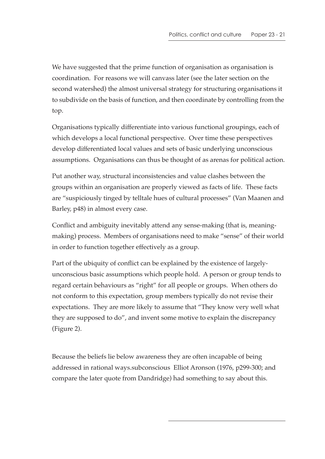We have suggested that the prime function of organisation as organisation is coordination. For reasons we will canvass later (see the later section on the second watershed) the almost universal strategy for structuring organisations it to subdivide on the basis of function, and then coordinate by controlling from the top.

Organisations typically differentiate into various functional groupings, each of which develops a local functional perspective. Over time these perspectives develop differentiated local values and sets of basic underlying unconscious assumptions. Organisations can thus be thought of as arenas for political action.

Put another way, structural inconsistencies and value clashes between the groups within an organisation are properly viewed as facts of life. These facts are "suspiciously tinged by telltale hues of cultural processes" (Van Maanen and Barley, p48) in almost every case.

Conflict and ambiguity inevitably attend any sense-making (that is, meaningmaking) process. Members of organisations need to make "sense" of their world in order to function together effectively as a group.

Part of the ubiquity of conflict can be explained by the existence of largelyunconscious basic assumptions which people hold. A person or group tends to regard certain behaviours as "right" for all people or groups. When others do not conform to this expectation, group members typically do not revise their expectations. They are more likely to assume that "They know very well what they are supposed to do", and invent some motive to explain the discrepancy (Figure 2).

Because the beliefs lie below awareness they are often incapable of being addressed in rational ways.subconscious Elliot Aronson (1976, p299-300; and compare the later quote from Dandridge) had something to say about this.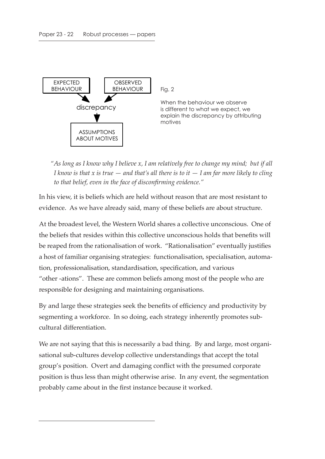

Fig. 2

When the behaviour we observe is different to what we expect, we explain the discrepancy by attributing motives

*"As long as I know why I believe x, I am relatively free to change my mind; but if all I know is that x is true — and that's all there is to it — I am far more likely to cling to that belief, even in the face of disconfirming evidence."*

In his view, it is beliefs which are held without reason that are most resistant to evidence. As we have already said, many of these beliefs are about structure.

At the broadest level, the Western World shares a collective unconscious. One of the beliefs that resides within this collective unconscious holds that benefits will be reaped from the rationalisation of work. "Rationalisation" eventually justifies a host of familiar organising strategies: functionalisation, specialisation, automation, professionalisation, standardisation, specification, and various "other -ations". These are common beliefs among most of the people who are responsible for designing and maintaining organisations.

By and large these strategies seek the benefits of efficiency and productivity by segmenting a workforce. In so doing, each strategy inherently promotes subcultural differentiation.

We are not saying that this is necessarily a bad thing. By and large, most organisational sub-cultures develop collective understandings that accept the total group's position. Overt and damaging conflict with the presumed corporate position is thus less than might otherwise arise. In any event, the segmentation probably came about in the first instance because it worked.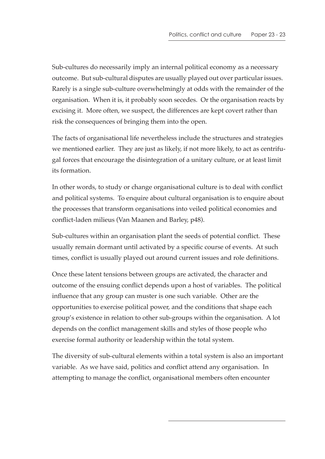Sub-cultures do necessarily imply an internal political economy as a necessary outcome. But sub-cultural disputes are usually played out over particular issues. Rarely is a single sub-culture overwhelmingly at odds with the remainder of the organisation. When it is, it probably soon secedes. Or the organisation reacts by excising it. More often, we suspect, the differences are kept covert rather than risk the consequences of bringing them into the open.

The facts of organisational life nevertheless include the structures and strategies we mentioned earlier. They are just as likely, if not more likely, to act as centrifugal forces that encourage the disintegration of a unitary culture, or at least limit its formation.

In other words, to study or change organisational culture is to deal with conflict and political systems. To enquire about cultural organisation is to enquire about the processes that transform organisations into veiled political economies and conflict-laden milieus (Van Maanen and Barley, p48).

Sub-cultures within an organisation plant the seeds of potential conflict. These usually remain dormant until activated by a specific course of events. At such times, conflict is usually played out around current issues and role definitions.

Once these latent tensions between groups are activated, the character and outcome of the ensuing conflict depends upon a host of variables. The political influence that any group can muster is one such variable. Other are the opportunities to exercise political power, and the conditions that shape each group's existence in relation to other sub-groups within the organisation. A lot depends on the conflict management skills and styles of those people who exercise formal authority or leadership within the total system.

The diversity of sub-cultural elements within a total system is also an important variable. As we have said, politics and conflict attend any organisation. In attempting to manage the conflict, organisational members often encounter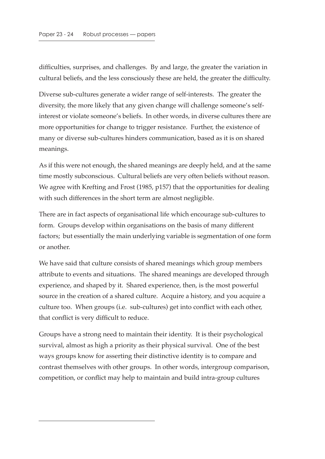difficulties, surprises, and challenges. By and large, the greater the variation in cultural beliefs, and the less consciously these are held, the greater the difficulty.

Diverse sub-cultures generate a wider range of self-interests. The greater the diversity, the more likely that any given change will challenge someone's selfinterest or violate someone's beliefs. In other words, in diverse cultures there are more opportunities for change to trigger resistance. Further, the existence of many or diverse sub-cultures hinders communication, based as it is on shared meanings.

As if this were not enough, the shared meanings are deeply held, and at the same time mostly subconscious. Cultural beliefs are very often beliefs without reason. We agree with Krefting and Frost (1985, p157) that the opportunities for dealing with such differences in the short term are almost negligible.

There are in fact aspects of organisational life which encourage sub-cultures to form. Groups develop within organisations on the basis of many different factors; but essentially the main underlying variable is segmentation of one form or another.

We have said that culture consists of shared meanings which group members attribute to events and situations. The shared meanings are developed through experience, and shaped by it. Shared experience, then, is the most powerful source in the creation of a shared culture. Acquire a history, and you acquire a culture too. When groups (i.e. sub-cultures) get into conflict with each other, that conflict is very difficult to reduce.

Groups have a strong need to maintain their identity. It is their psychological survival, almost as high a priority as their physical survival. One of the best ways groups know for asserting their distinctive identity is to compare and contrast themselves with other groups. In other words, intergroup comparison, competition, or conflict may help to maintain and build intra-group cultures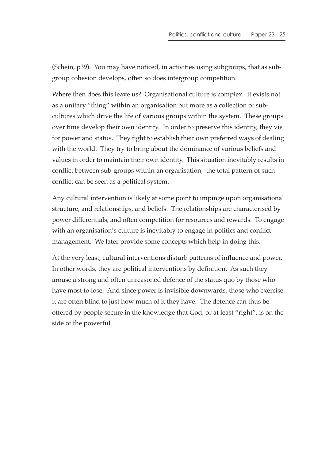(Schein, p39). You may have noticed, in activities using subgroups, that as subgroup cohesion develops, often so does intergroup competition.

Where then does this leave us? Organisational culture is complex. It exists not as a unitary "thing" within an organisation but more as a collection of subcultures which drive the life of various groups within the system. These groups over time develop their own identity. In order to preserve this identity, they vie for power and status. They fight to establish their own preferred ways of dealing with the world. They try to bring about the dominance of various beliefs and values in order to maintain their own identity. This situation inevitably results in conflict between sub-groups within an organisation; the total pattern of such conflict can be seen as a political system.

Any cultural intervention is likely at some point to impinge upon organisational structure, and relationships, and beliefs. The relationships are characterised by power differentials, and often competition for resources and rewards. To engage with an organisation's culture is inevitably to engage in politics and conflict management. We later provide some concepts which help in doing this.

At the very least, cultural interventions disturb patterns of influence and power. In other words, they are political interventions by definition. As such they arouse a strong and often unreasoned defence of the status quo by those who have most to lose. And since power is invisible downwards, those who exercise it are often blind to just how much of it they have. The defence can thus be offered by people secure in the knowledge that God, or at least "right", is on the side of the powerful.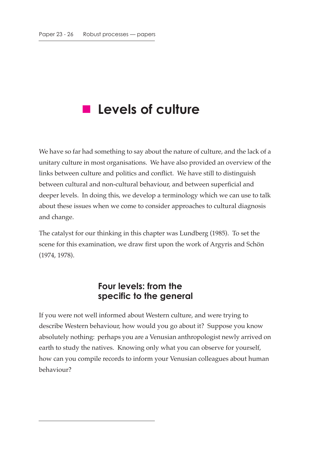# **Levels of culture**

We have so far had something to say about the nature of culture, and the lack of a unitary culture in most organisations. We have also provided an overview of the links between culture and politics and conflict. We have still to distinguish between cultural and non-cultural behaviour, and between superficial and deeper levels. In doing this, we develop a terminology which we can use to talk about these issues when we come to consider approaches to cultural diagnosis and change.

The catalyst for our thinking in this chapter was Lundberg (1985). To set the scene for this examination, we draw first upon the work of Argyris and Schön (1974, 1978).

#### **Four levels: from the specific to the general**

If you were not well informed about Western culture, and were trying to describe Western behaviour, how would you go about it? Suppose you know absolutely nothing: perhaps you are a Venusian anthropologist newly arrived on earth to study the natives. Knowing only what you can observe for yourself, how can you compile records to inform your Venusian colleagues about human behaviour?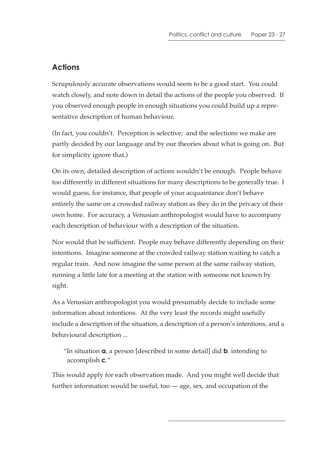#### **Actions**

Scrupulously accurate observations would seem to be a good start. You could watch closely, and note down in detail the actions of the people you observed. If you observed enough people in enough situations you could build up a representative description of human behaviour.

(In fact, you couldn't. Perception is selective; and the selections we make are partly decided by our language and by our theories about what is going on. But for simplicity ignore that.)

On its own, detailed description of actions wouldn't be enough. People behave too differently in different situations for many descriptions to be generally true. I would guess, for instance, that people of your acquaintance don't behave entirely the same on a crowded railway station as they do in the privacy of their own home. For accuracy, a Venusian anthropologist would have to accompany each description of behaviour with a description of the situation.

Nor would that be sufficient. People may behave differently depending on their intentions. Imagine someone at the crowded railway station waiting to catch a regular train. And now imagine the same person at the same railway station, running a little late for a meeting at the station with someone not known by sight.

As a Venusian anthropologist you would presumably decide to include some information about intentions. At the very least the records might usefully include a description of the situation, a description of a person's intentions, and a behavioural description ...

"In situation **a**, a person [described in some detail] did **b**. intending to accomplish **c**."

This would apply for each observation made. And you might well decide that further information would be useful, too — age, sex, and occupation of the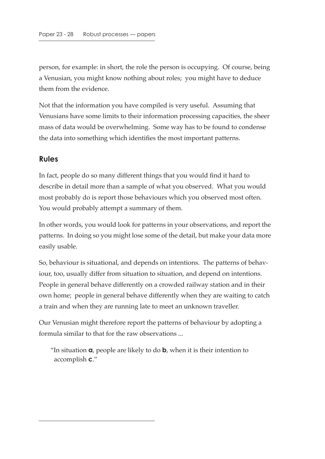person, for example: in short, the role the person is occupying. Of course, being a Venusian, you might know nothing about roles; you might have to deduce them from the evidence.

Not that the information you have compiled is very useful. Assuming that Venusians have some limits to their information processing capacities, the sheer mass of data would be overwhelming. Some way has to be found to condense the data into something which identifies the most important patterns.

#### **Rules**

In fact, people do so many different things that you would find it hard to describe in detail more than a sample of what you observed. What you would most probably do is report those behaviours which you observed most often. You would probably attempt a summary of them.

In other words, you would look for patterns in your observations, and report the patterns. In doing so you might lose some of the detail, but make your data more easily usable.

So, behaviour is situational, and depends on intentions. The patterns of behaviour, too, usually differ from situation to situation, and depend on intentions. People in general behave differently on a crowded railway station and in their own home; people in general behave differently when they are waiting to catch a train and when they are running late to meet an unknown traveller.

Our Venusian might therefore report the patterns of behaviour by adopting a formula similar to that for the raw observations ...

"In situation **a**, people are likely to do **b**, when it is their intention to accomplish **c**."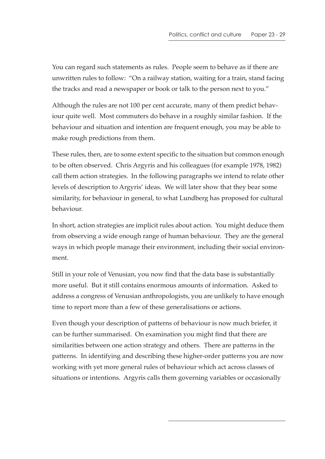You can regard such statements as rules. People seem to behave as if there are unwritten rules to follow: "On a railway station, waiting for a train, stand facing the tracks and read a newspaper or book or talk to the person next to you."

Although the rules are not 100 per cent accurate, many of them predict behaviour quite well. Most commuters do behave in a roughly similar fashion. If the behaviour and situation and intention are frequent enough, you may be able to make rough predictions from them.

These rules, then, are to some extent specific to the situation but common enough to be often observed. Chris Argyris and his colleagues (for example 1978, 1982) call them action strategies. In the following paragraphs we intend to relate other levels of description to Argyris' ideas. We will later show that they bear some similarity, for behaviour in general, to what Lundberg has proposed for cultural behaviour.

In short, action strategies are implicit rules about action. You might deduce them from observing a wide enough range of human behaviour. They are the general ways in which people manage their environment, including their social environment.

Still in your role of Venusian, you now find that the data base is substantially more useful. But it still contains enormous amounts of information. Asked to address a congress of Venusian anthropologists, you are unlikely to have enough time to report more than a few of these generalisations or actions.

Even though your description of patterns of behaviour is now much briefer, it can be further summarised. On examination you might find that there are similarities between one action strategy and others. There are patterns in the patterns. In identifying and describing these higher-order patterns you are now working with yet more general rules of behaviour which act across classes of situations or intentions. Argyris calls them governing variables or occasionally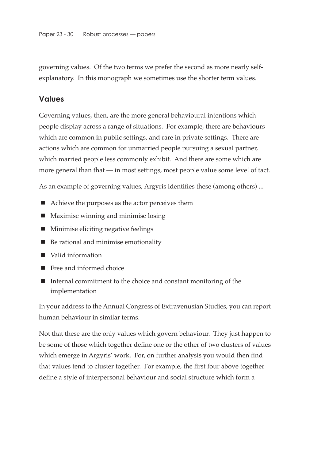governing values. Of the two terms we prefer the second as more nearly selfexplanatory. In this monograph we sometimes use the shorter term values.

#### **Values**

Governing values, then, are the more general behavioural intentions which people display across a range of situations. For example, there are behaviours which are common in public settings, and rare in private settings. There are actions which are common for unmarried people pursuing a sexual partner, which married people less commonly exhibit. And there are some which are more general than that — in most settings, most people value some level of tact.

As an example of governing values, Argyris identifies these (among others) ...

- Achieve the purposes as the actor perceives them
- Maximise winning and minimise losing
- Minimise eliciting negative feelings
- Be rational and minimise emotionality
- Valid information
- Free and informed choice
- Internal commitment to the choice and constant monitoring of the implementation

In your address to the Annual Congress of Extravenusian Studies, you can report human behaviour in similar terms.

Not that these are the only values which govern behaviour. They just happen to be some of those which together define one or the other of two clusters of values which emerge in Argyris' work. For, on further analysis you would then find that values tend to cluster together. For example, the first four above together define a style of interpersonal behaviour and social structure which form a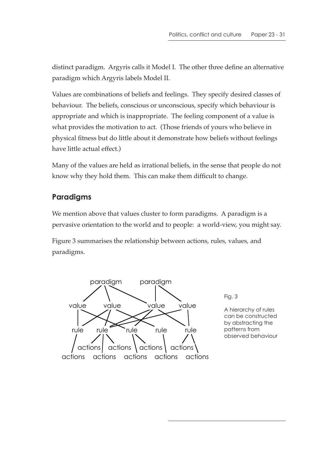distinct paradigm. Argyris calls it Model I. The other three define an alternative paradigm which Argyris labels Model II.

Values are combinations of beliefs and feelings. They specify desired classes of behaviour. The beliefs, conscious or unconscious, specify which behaviour is appropriate and which is inappropriate. The feeling component of a value is what provides the motivation to act. (Those friends of yours who believe in physical fitness but do little about it demonstrate how beliefs without feelings have little actual effect.)

Many of the values are held as irrational beliefs, in the sense that people do not know why they hold them. This can make them difficult to change.

#### **Paradigms**

We mention above that values cluster to form paradigms. A paradigm is a pervasive orientation to the world and to people: a world-view, you might say.

Figure 3 summarises the relationship between actions, rules, values, and paradigms.



Fig. 3

A hierarchy of rules can be constructed by abstracting the patterns from observed behaviour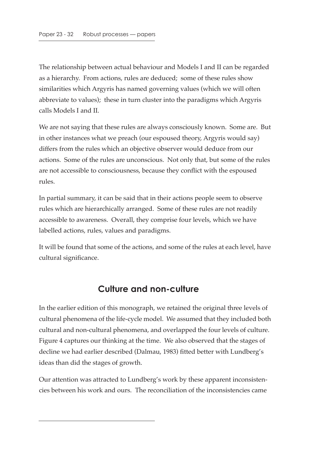The relationship between actual behaviour and Models I and II can be regarded as a hierarchy. From actions, rules are deduced; some of these rules show similarities which Argyris has named governing values (which we will often abbreviate to values); these in turn cluster into the paradigms which Argyris calls Models I and II.

We are not saying that these rules are always consciously known. Some are. But in other instances what we preach (our espoused theory, Argyris would say) differs from the rules which an objective observer would deduce from our actions. Some of the rules are unconscious. Not only that, but some of the rules are not accessible to consciousness, because they conflict with the espoused rules.

In partial summary, it can be said that in their actions people seem to observe rules which are hierarchically arranged. Some of these rules are not readily accessible to awareness. Overall, they comprise four levels, which we have labelled actions, rules, values and paradigms.

It will be found that some of the actions, and some of the rules at each level, have cultural significance.

## **Culture and non-culture**

In the earlier edition of this monograph, we retained the original three levels of cultural phenomena of the life-cycle model. We assumed that they included both cultural and non-cultural phenomena, and overlapped the four levels of culture. Figure 4 captures our thinking at the time. We also observed that the stages of decline we had earlier described (Dalmau, 1983) fitted better with Lundberg's ideas than did the stages of growth.

Our attention was attracted to Lundberg's work by these apparent inconsistencies between his work and ours. The reconciliation of the inconsistencies came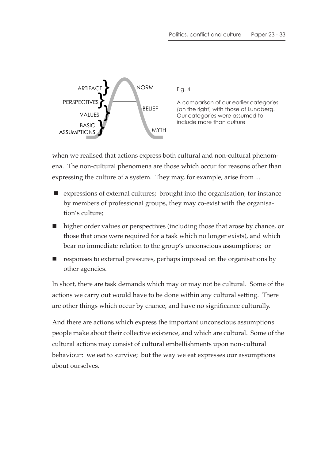

Fig. 4

A comparison of our earlier categories (on the right) with those of Lundberg. Our categories were assumed to include more than culture

when we realised that actions express both cultural and non-cultural phenomena. The non-cultural phenomena are those which occur for reasons other than expressing the culture of a system. They may, for example, arise from ...

- expressions of external cultures; brought into the organisation, for instance by members of professional groups, they may co-exist with the organisation's culture;
- higher order values or perspectives (including those that arose by chance, or those that once were required for a task which no longer exists), and which bear no immediate relation to the group's unconscious assumptions; or
- $\blacksquare$  responses to external pressures, perhaps imposed on the organisations by other agencies.

In short, there are task demands which may or may not be cultural. Some of the actions we carry out would have to be done within any cultural setting. There are other things which occur by chance, and have no significance culturally.

And there are actions which express the important unconscious assumptions people make about their collective existence, and which are cultural. Some of the cultural actions may consist of cultural embellishments upon non-cultural behaviour: we eat to survive; but the way we eat expresses our assumptions about ourselves.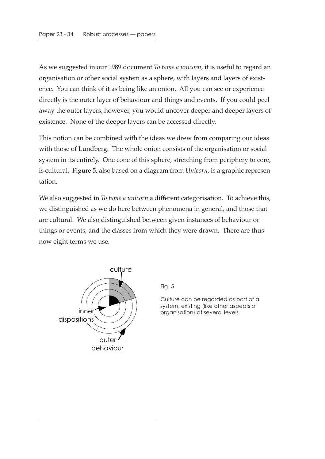As we suggested in our 1989 document *To tame a unicorn*, it is useful to regard an organisation or other social system as a sphere, with layers and layers of existence. You can think of it as being like an onion. All you can see or experience directly is the outer layer of behaviour and things and events. If you could peel away the outer layers, however, you would uncover deeper and deeper layers of existence. None of the deeper layers can be accessed directly.

This notion can be combined with the ideas we drew from comparing our ideas with those of Lundberg. The whole onion consists of the organisation or social system in its entirely. One cone of this sphere, stretching from periphery to core, is cultural. Figure 5, also based on a diagram from *Unicorn*, is a graphic representation.

We also suggested in *To tame a unicorn* a different categorisation. To achieve this, we distinguished as we do here between phenomena in general, and those that are cultural. We also distinguished between given instances of behaviour or things or events, and the classes from which they were drawn. There are thus now eight terms we use.



Fig. 5

Culture can be regarded as part of a system, existing (like other aspects of organisation) at several levels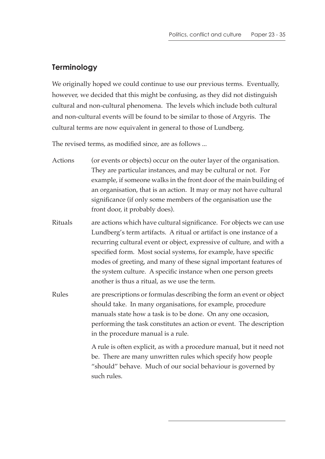#### **Terminology**

We originally hoped we could continue to use our previous terms. Eventually, however, we decided that this might be confusing, as they did not distinguish cultural and non-cultural phenomena. The levels which include both cultural and non-cultural events will be found to be similar to those of Argyris. The cultural terms are now equivalent in general to those of Lundberg.

The revised terms, as modified since, are as follows ...

- Actions (or events or objects) occur on the outer layer of the organisation. They are particular instances, and may be cultural or not. For example, if someone walks in the front door of the main building of an organisation, that is an action. It may or may not have cultural significance (if only some members of the organisation use the front door, it probably does).
- Rituals are actions which have cultural significance. For objects we can use Lundberg's term artifacts. A ritual or artifact is one instance of a recurring cultural event or object, expressive of culture, and with a specified form. Most social systems, for example, have specific modes of greeting, and many of these signal important features of the system culture. A specific instance when one person greets another is thus a ritual, as we use the term.
- Rules are prescriptions or formulas describing the form an event or object should take. In many organisations, for example, procedure manuals state how a task is to be done. On any one occasion, performing the task constitutes an action or event. The description in the procedure manual is a rule.

A rule is often explicit, as with a procedure manual, but it need not be. There are many unwritten rules which specify how people "should" behave. Much of our social behaviour is governed by such rules.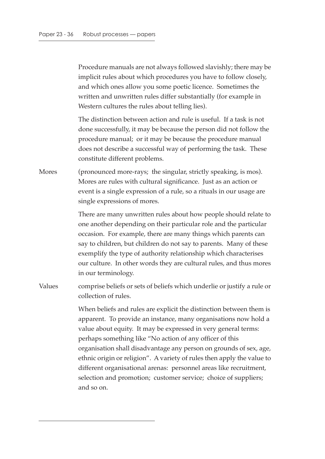Procedure manuals are not always followed slavishly; there may be implicit rules about which procedures you have to follow closely, and which ones allow you some poetic licence. Sometimes the written and unwritten rules differ substantially (for example in Western cultures the rules about telling lies).

The distinction between action and rule is useful. If a task is not done successfully, it may be because the person did not follow the procedure manual; or it may be because the procedure manual does not describe a successful way of performing the task. These constitute different problems.

Mores (pronounced more-rays; the singular, strictly speaking, is mos). Mores are rules with cultural significance. Just as an action or event is a single expression of a rule, so a rituals in our usage are single expressions of mores.

> There are many unwritten rules about how people should relate to one another depending on their particular role and the particular occasion. For example, there are many things which parents can say to children, but children do not say to parents. Many of these exemplify the type of authority relationship which characterises our culture. In other words they are cultural rules, and thus mores in our terminology.

Values comprise beliefs or sets of beliefs which underlie or justify a rule or collection of rules.

> When beliefs and rules are explicit the distinction between them is apparent. To provide an instance, many organisations now hold a value about equity. It may be expressed in very general terms: perhaps something like "No action of any officer of this organisation shall disadvantage any person on grounds of sex, age, ethnic origin or religion". A variety of rules then apply the value to different organisational arenas: personnel areas like recruitment, selection and promotion; customer service; choice of suppliers; and so on.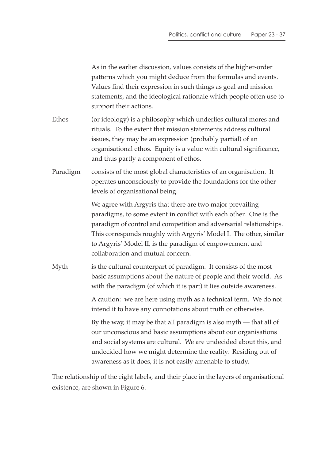| As in the earlier discussion, values consists of the higher-order<br>patterns which you might deduce from the formulas and events.<br>Values find their expression in such things as goal and mission<br>statements, and the ideological rationale which people often use to<br>support their actions.                                                                      |
|-----------------------------------------------------------------------------------------------------------------------------------------------------------------------------------------------------------------------------------------------------------------------------------------------------------------------------------------------------------------------------|
| (or ideology) is a philosophy which underlies cultural mores and<br>rituals. To the extent that mission statements address cultural<br>issues, they may be an expression (probably partial) of an<br>organisational ethos. Equity is a value with cultural significance,<br>and thus partly a component of ethos.                                                           |
| consists of the most global characteristics of an organisation. It<br>operates unconsciously to provide the foundations for the other<br>levels of organisational being.                                                                                                                                                                                                    |
| We agree with Argyris that there are two major prevailing<br>paradigms, to some extent in conflict with each other. One is the<br>paradigm of control and competition and adversarial relationships.<br>This corresponds roughly with Argyris' Model I. The other, similar<br>to Argyris' Model II, is the paradigm of empowerment and<br>collaboration and mutual concern. |
| is the cultural counterpart of paradigm. It consists of the most<br>basic assumptions about the nature of people and their world. As<br>with the paradigm (of which it is part) it lies outside awareness.                                                                                                                                                                  |
| A caution: we are here using myth as a technical term. We do not<br>intend it to have any connotations about truth or otherwise.                                                                                                                                                                                                                                            |
| By the way, it may be that all paradigm is also myth — that all of<br>our unconscious and basic assumptions about our organisations<br>and social systems are cultural. We are undecided about this, and<br>undecided how we might determine the reality. Residing out of<br>awareness as it does, it is not easily amenable to study.                                      |
|                                                                                                                                                                                                                                                                                                                                                                             |

The relationship of the eight labels, and their place in the layers of organisational existence, are shown in Figure 6.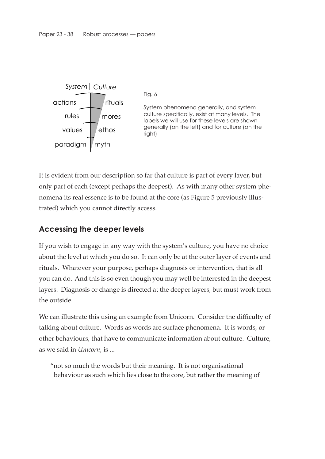

It is evident from our description so far that culture is part of every layer, but only part of each (except perhaps the deepest). As with many other system phenomena its real essence is to be found at the core (as Figure 5 previously illustrated) which you cannot directly access.

# **Accessing the deeper levels**

If you wish to engage in any way with the system's culture, you have no choice about the level at which you do so. It can only be at the outer layer of events and rituals. Whatever your purpose, perhaps diagnosis or intervention, that is all you can do. And this is so even though you may well be interested in the deepest layers. Diagnosis or change is directed at the deeper layers, but must work from the outside.

We can illustrate this using an example from Unicorn. Consider the difficulty of talking about culture. Words as words are surface phenomena. It is words, or other behaviours, that have to communicate information about culture. Culture, as we said in *Unicorn*, is ...

"not so much the words but their meaning. It is not organisational behaviour as such which lies close to the core, but rather the meaning of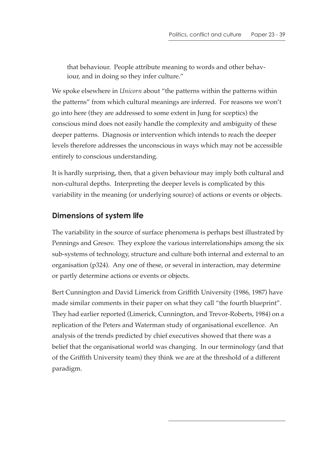that behaviour. People attribute meaning to words and other behaviour, and in doing so they infer culture."

We spoke elsewhere in *Unicorn* about "the patterns within the patterns within the patterns" from which cultural meanings are inferred. For reasons we won't go into here (they are addressed to some extent in Jung for sceptics) the conscious mind does not easily handle the complexity and ambiguity of these deeper patterns. Diagnosis or intervention which intends to reach the deeper levels therefore addresses the unconscious in ways which may not be accessible entirely to conscious understanding.

It is hardly surprising, then, that a given behaviour may imply both cultural and non-cultural depths. Interpreting the deeper levels is complicated by this variability in the meaning (or underlying source) of actions or events or objects.

#### **Dimensions of system life**

The variability in the source of surface phenomena is perhaps best illustrated by Pennings and Gresov. They explore the various interrelationships among the six sub-systems of technology, structure and culture both internal and external to an organisation (p324). Any one of these, or several in interaction, may determine or partly determine actions or events or objects.

Bert Cunnington and David Limerick from Griffith University (1986, 1987) have made similar comments in their paper on what they call "the fourth blueprint". They had earlier reported (Limerick, Cunnington, and Trevor-Roberts, 1984) on a replication of the Peters and Waterman study of organisational excellence. An analysis of the trends predicted by chief executives showed that there was a belief that the organisational world was changing. In our terminology (and that of the Griffith University team) they think we are at the threshold of a different paradigm.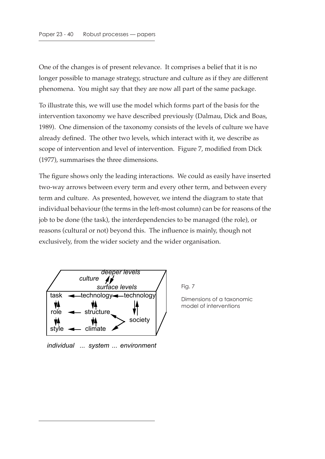One of the changes is of present relevance. It comprises a belief that it is no longer possible to manage strategy, structure and culture as if they are different phenomena. You might say that they are now all part of the same package.

To illustrate this, we will use the model which forms part of the basis for the intervention taxonomy we have described previously (Dalmau, Dick and Boas, 1989). One dimension of the taxonomy consists of the levels of culture we have already defined. The other two levels, which interact with it, we describe as scope of intervention and level of intervention. Figure 7, modified from Dick (1977), summarises the three dimensions.

The figure shows only the leading interactions. We could as easily have inserted two-way arrows between every term and every other term, and between every term and culture. As presented, however, we intend the diagram to state that individual behaviour (the terms in the left-most column) can be for reasons of the job to be done (the task), the interdependencies to be managed (the role), or reasons (cultural or not) beyond this. The influence is mainly, though not exclusively, from the wider society and the wider organisation.



Fig. 7

Dimensions of a taxonomic model of interventions

*individual ...* system ... environment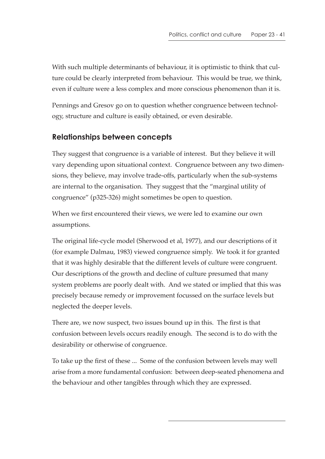With such multiple determinants of behaviour, it is optimistic to think that culture could be clearly interpreted from behaviour. This would be true, we think, even if culture were a less complex and more conscious phenomenon than it is.

Pennings and Gresov go on to question whether congruence between technology, structure and culture is easily obtained, or even desirable.

#### **Relationships between concepts**

They suggest that congruence is a variable of interest. But they believe it will vary depending upon situational context. Congruence between any two dimensions, they believe, may involve trade-offs, particularly when the sub-systems are internal to the organisation. They suggest that the "marginal utility of congruence" (p325-326) might sometimes be open to question.

When we first encountered their views, we were led to examine our own assumptions.

The original life-cycle model (Sherwood et al, 1977), and our descriptions of it (for example Dalmau, 1983) viewed congruence simply. We took it for granted that it was highly desirable that the different levels of culture were congruent. Our descriptions of the growth and decline of culture presumed that many system problems are poorly dealt with. And we stated or implied that this was precisely because remedy or improvement focussed on the surface levels but neglected the deeper levels.

There are, we now suspect, two issues bound up in this. The first is that confusion between levels occurs readily enough. The second is to do with the desirability or otherwise of congruence.

To take up the first of these ... Some of the confusion between levels may well arise from a more fundamental confusion: between deep-seated phenomena and the behaviour and other tangibles through which they are expressed.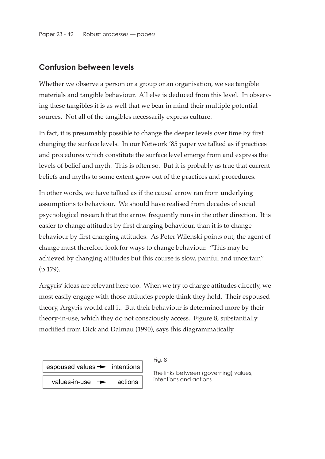#### **Confusion between levels**

Whether we observe a person or a group or an organisation, we see tangible materials and tangible behaviour. All else is deduced from this level. In observing these tangibles it is as well that we bear in mind their multiple potential sources. Not all of the tangibles necessarily express culture.

In fact, it is presumably possible to change the deeper levels over time by first changing the surface levels. In our Network '85 paper we talked as if practices and procedures which constitute the surface level emerge from and express the levels of belief and myth. This is often so. But it is probably as true that current beliefs and myths to some extent grow out of the practices and procedures.

In other words, we have talked as if the causal arrow ran from underlying assumptions to behaviour. We should have realised from decades of social psychological research that the arrow frequently runs in the other direction. It is easier to change attitudes by first changing behaviour, than it is to change behaviour by first changing attitudes. As Peter Wilenski points out, the agent of change must therefore look for ways to change behaviour. "This may be achieved by changing attitudes but this course is slow, painful and uncertain" (p 179).

Argyris' ideas are relevant here too. When we try to change attitudes directly, we most easily engage with those attitudes people think they hold. Their espoused theory, Argyris would call it. But their behaviour is determined more by their theory-in-use, which they do not consciously access. Figure 8, substantially modified from Dick and Dalmau (1990), says this diagrammatically.

| $\vert$ espoused values $\rightarrow$ intentions $\vert$ |         |
|----------------------------------------------------------|---------|
| values-in-use $\rightarrow$                              | actions |

Fig. 8

The links between (governing) values, intentions and actions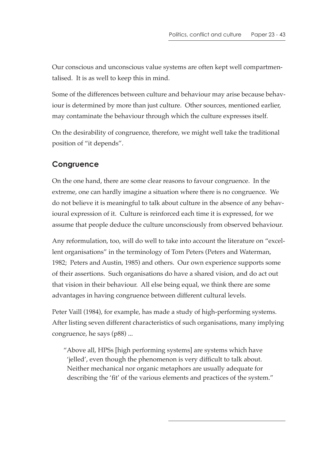Our conscious and unconscious value systems are often kept well compartmentalised. It is as well to keep this in mind.

Some of the differences between culture and behaviour may arise because behaviour is determined by more than just culture. Other sources, mentioned earlier, may contaminate the behaviour through which the culture expresses itself.

On the desirability of congruence, therefore, we might well take the traditional position of "it depends".

#### **Congruence**

On the one hand, there are some clear reasons to favour congruence. In the extreme, one can hardly imagine a situation where there is no congruence. We do not believe it is meaningful to talk about culture in the absence of any behavioural expression of it. Culture is reinforced each time it is expressed, for we assume that people deduce the culture unconsciously from observed behaviour.

Any reformulation, too, will do well to take into account the literature on "excellent organisations" in the terminology of Tom Peters (Peters and Waterman, 1982; Peters and Austin, 1985) and others. Our own experience supports some of their assertions. Such organisations do have a shared vision, and do act out that vision in their behaviour. All else being equal, we think there are some advantages in having congruence between different cultural levels.

Peter Vaill (1984), for example, has made a study of high-performing systems. After listing seven different characteristics of such organisations, many implying congruence, he says (p88) ...

"Above all, HPSs [high performing systems] are systems which have 'jelled', even though the phenomenon is very difficult to talk about. Neither mechanical nor organic metaphors are usually adequate for describing the 'fit' of the various elements and practices of the system."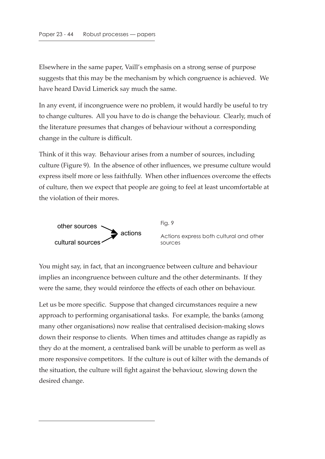Elsewhere in the same paper, Vaill's emphasis on a strong sense of purpose suggests that this may be the mechanism by which congruence is achieved. We have heard David Limerick say much the same.

In any event, if incongruence were no problem, it would hardly be useful to try to change cultures. All you have to do is change the behaviour. Clearly, much of the literature presumes that changes of behaviour without a corresponding change in the culture is difficult.

Think of it this way. Behaviour arises from a number of sources, including culture (Figure 9). In the absence of other influences, we presume culture would express itself more or less faithfully. When other influences overcome the effects of culture, then we expect that people are going to feel at least uncomfortable at the violation of their mores.



Fig. 9 Actions express both cultural and other sources

You might say, in fact, that an incongruence between culture and behaviour implies an incongruence between culture and the other determinants. If they were the same, they would reinforce the effects of each other on behaviour.

Let us be more specific. Suppose that changed circumstances require a new approach to performing organisational tasks. For example, the banks (among many other organisations) now realise that centralised decision-making slows down their response to clients. When times and attitudes change as rapidly as they do at the moment, a centralised bank will be unable to perform as well as more responsive competitors. If the culture is out of kilter with the demands of the situation, the culture will fight against the behaviour, slowing down the desired change.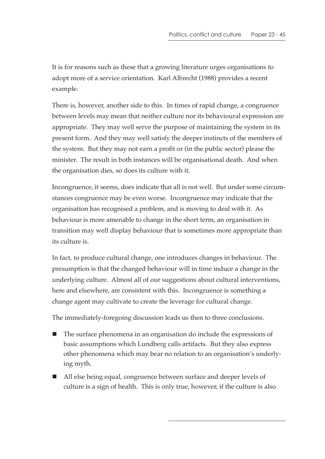It is for reasons such as these that a growing literature urges organisations to adopt more of a service orientation. Karl Albrecht (1988) provides a recent example.

There is, however, another side to this. In times of rapid change, a congruence between levels may mean that neither culture nor its behavioural expression are appropriate. They may well serve the purpose of maintaining the system in its present form. And they may well satisfy the deeper instincts of the members of the system. But they may not earn a profit or (in the public sector) please the minister. The result in both instances will be organisational death. And when the organisation dies, so does its culture with it.

Incongruence, it seems, does indicate that all is not well. But under some circumstances congruence may be even worse. Incongruence may indicate that the organisation has recognised a problem, and is moving to deal with it. As behaviour is more amenable to change in the short term, an organisation in transition may well display behaviour that is sometimes more appropriate than its culture is.

In fact, to produce cultural change, one introduces changes in behaviour. The presumption is that the changed behaviour will in time induce a change in the underlying culture. Almost all of our suggestions about cultural interventions, here and elsewhere, are consistent with this. Incongruence is something a change agent may cultivate to create the leverage for cultural change.

The immediately-foregoing discussion leads us then to three conclusions.

- The surface phenomena in an organisation do include the expressions of basic assumptions which Lundberg calls artifacts. But they also express other phenomena which may bear no relation to an organisation's underlying myth.
- All else being equal, congruence between surface and deeper levels of culture is a sign of health. This is only true, however, if the culture is also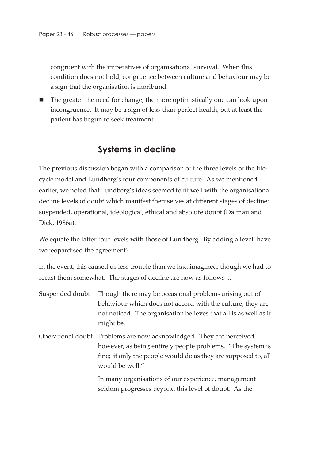congruent with the imperatives of organisational survival. When this condition does not hold, congruence between culture and behaviour may be a sign that the organisation is moribund.

■ The greater the need for change, the more optimistically one can look upon incongruence. It may be a sign of less-than-perfect health, but at least the patient has begun to seek treatment.

### **Systems in decline**

The previous discussion began with a comparison of the three levels of the lifecycle model and Lundberg's four components of culture. As we mentioned earlier, we noted that Lundberg's ideas seemed to fit well with the organisational decline levels of doubt which manifest themselves at different stages of decline: suspended, operational, ideological, ethical and absolute doubt (Dalmau and Dick, 1986a).

We equate the latter four levels with those of Lundberg. By adding a level, have we jeopardised the agreement?

In the event, this caused us less trouble than we had imagined, though we had to recast them somewhat. The stages of decline are now as follows ...

| Suspended doubt | Though there may be occasional problems arising out of<br>behaviour which does not accord with the culture, they are<br>not noticed. The organisation believes that all is as well as it<br>might be.                   |
|-----------------|-------------------------------------------------------------------------------------------------------------------------------------------------------------------------------------------------------------------------|
|                 | Operational doubt Problems are now acknowledged. They are perceived,<br>however, as being entirely people problems. "The system is<br>fine; if only the people would do as they are supposed to, all<br>would be well." |
|                 | In many organisations of our experience, management<br>seldom progresses beyond this level of doubt. As the                                                                                                             |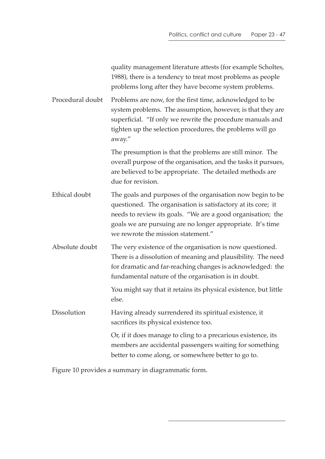|                  | quality management literature attests (for example Scholtes,<br>1988), there is a tendency to treat most problems as people<br>problems long after they have become system problems.                                                                                                          |
|------------------|-----------------------------------------------------------------------------------------------------------------------------------------------------------------------------------------------------------------------------------------------------------------------------------------------|
| Procedural doubt | Problems are now, for the first time, acknowledged to be<br>system problems. The assumption, however, is that they are<br>superficial. "If only we rewrite the procedure manuals and<br>tighten up the selection procedures, the problems will go<br>away."                                   |
|                  | The presumption is that the problems are still minor. The<br>overall purpose of the organisation, and the tasks it pursues,<br>are believed to be appropriate. The detailed methods are<br>due for revision.                                                                                  |
| Ethical doubt    | The goals and purposes of the organisation now begin to be<br>questioned. The organisation is satisfactory at its core; it<br>needs to review its goals. "We are a good organisation; the<br>goals we are pursuing are no longer appropriate. It's time<br>we rewrote the mission statement." |
| Absolute doubt   | The very existence of the organisation is now questioned.<br>There is a dissolution of meaning and plausibility. The need<br>for dramatic and far-reaching changes is acknowledged: the<br>fundamental nature of the organisation is in doubt.                                                |
|                  | You might say that it retains its physical existence, but little<br>else.                                                                                                                                                                                                                     |
| Dissolution      | Having already surrendered its spiritual existence, it<br>sacrifices its physical existence too.                                                                                                                                                                                              |
|                  | Or, if it does manage to cling to a precarious existence, its<br>members are accidental passengers waiting for something<br>better to come along, or somewhere better to go to.                                                                                                               |

Figure 10 provides a summary in diagrammatic form.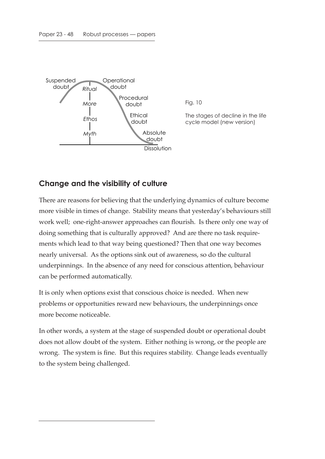

Fig. 10

The stages of decline in the life cycle model (new version)

#### **Change and the visibility of culture**

There are reasons for believing that the underlying dynamics of culture become more visible in times of change. Stability means that yesterday's behaviours still work well; one-right-answer approaches can flourish. Is there only one way of doing something that is culturally approved? And are there no task requirements which lead to that way being questioned? Then that one way becomes nearly universal. As the options sink out of awareness, so do the cultural underpinnings. In the absence of any need for conscious attention, behaviour can be performed automatically.

It is only when options exist that conscious choice is needed. When new problems or opportunities reward new behaviours, the underpinnings once more become noticeable.

In other words, a system at the stage of suspended doubt or operational doubt does not allow doubt of the system. Either nothing is wrong, or the people are wrong. The system is fine. But this requires stability. Change leads eventually to the system being challenged.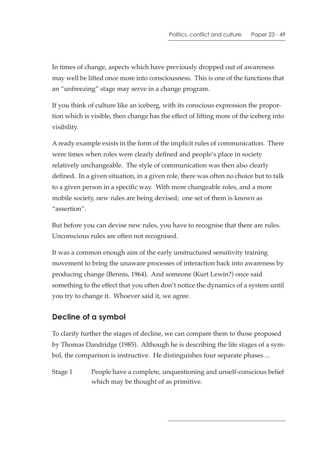In times of change, aspects which have previously dropped out of awareness may well be lifted once more into consciousness. This is one of the functions that an "unfreezing" stage may serve in a change program.

If you think of culture like an iceberg, with its conscious expression the proportion which is visible, then change has the effect of lifting more of the iceberg into visibility.

A ready example exists in the form of the implicit rules of communication. There were times when roles were clearly defined and people's place in society relatively unchangeable. The style of communication was then also clearly defined. In a given situation, in a given role, there was often no choice but to talk to a given person in a specific way. With more changeable roles, and a more mobile society, new rules are being devised; one set of them is known as "assertion".

But before you can devise new rules, you have to recognise that there are rules. Unconscious rules are often not recognised.

It was a common enough aim of the early unstructured sensitivity training movement to bring the unaware processes of interaction back into awareness by producing change (Bennis, 1964). And someone (Kurt Lewin?) once said something to the effect that you often don't notice the dynamics of a system until you try to change it. Whoever said it, we agree.

# **Decline of a symbol**

To clarify further the stages of decline, we can compare them to those proposed by Thomas Dandridge (1985). Although he is describing the life stages of a symbol, the comparison is instructive. He distinguishes four separate phases ...

Stage 1 People have a complete, unquestioning and unself-conscious belief which may be thought of as primitive.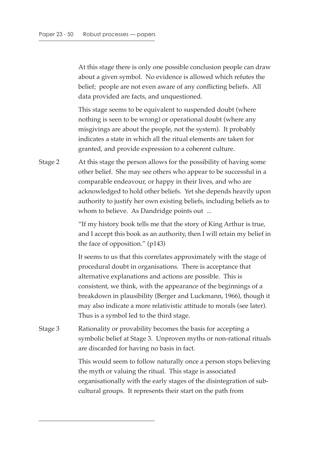At this stage there is only one possible conclusion people can draw about a given symbol. No evidence is allowed which refutes the belief; people are not even aware of any conflicting beliefs. All data provided are facts, and unquestioned.

This stage seems to be equivalent to suspended doubt (where nothing is seen to be wrong) or operational doubt (where any misgivings are about the people, not the system). It probably indicates a state in which all the ritual elements are taken for granted, and provide expression to a coherent culture.

Stage 2 At this stage the person allows for the possibility of having some other belief. She may see others who appear to be successful in a comparable endeavour, or happy in their lives, and who are acknowledged to hold other beliefs. Yet she depends heavily upon authority to justify her own existing beliefs, including beliefs as to whom to believe. As Dandridge points out ...

> "If my history book tells me that the story of King Arthur is true, and I accept this book as an authority, then I will retain my belief in the face of opposition." (p143)

> It seems to us that this correlates approximately with the stage of procedural doubt in organisations. There is acceptance that alternative explanations and actions are possible. This is consistent, we think, with the appearance of the beginnings of a breakdown in plausibility (Berger and Luckmann, 1966), though it may also indicate a more relativistic attitude to morals (see later). Thus is a symbol led to the third stage.

Stage 3 Rationality or provability becomes the basis for accepting a symbolic belief at Stage 3. Unproven myths or non-rational rituals are discarded for having no basis in fact.

> This would seem to follow naturally once a person stops believing the myth or valuing the ritual. This stage is associated organisationally with the early stages of the disintegration of subcultural groups. It represents their start on the path from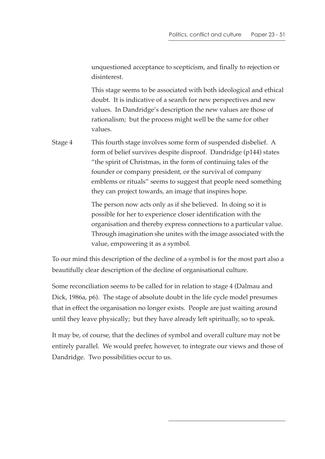unquestioned acceptance to scepticism, and finally to rejection or disinterest.

This stage seems to be associated with both ideological and ethical doubt. It is indicative of a search for new perspectives and new values. In Dandridge's description the new values are those of rationalism; but the process might well be the same for other values.

Stage 4 This fourth stage involves some form of suspended disbelief. A form of belief survives despite disproof. Dandridge (p144) states "the spirit of Christmas, in the form of continuing tales of the founder or company president, or the survival of company emblems or rituals" seems to suggest that people need something they can project towards, an image that inspires hope.

> The person now acts only as if she believed. In doing so it is possible for her to experience closer identification with the organisation and thereby express connections to a particular value. Through imagination she unites with the image associated with the value, empowering it as a symbol.

To our mind this description of the decline of a symbol is for the most part also a beautifully clear description of the decline of organisational culture.

Some reconciliation seems to be called for in relation to stage 4 (Dalmau and Dick, 1986a, p6). The stage of absolute doubt in the life cycle model presumes that in effect the organisation no longer exists. People are just waiting around until they leave physically; but they have already left spiritually, so to speak.

It may be, of course, that the declines of symbol and overall culture may not be entirely parallel. We would prefer, however, to integrate our views and those of Dandridge. Two possibilities occur to us.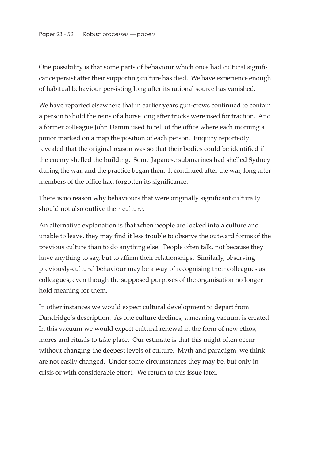One possibility is that some parts of behaviour which once had cultural significance persist after their supporting culture has died. We have experience enough of habitual behaviour persisting long after its rational source has vanished.

We have reported elsewhere that in earlier years gun-crews continued to contain a person to hold the reins of a horse long after trucks were used for traction. And a former colleague John Damm used to tell of the office where each morning a junior marked on a map the position of each person. Enquiry reportedly revealed that the original reason was so that their bodies could be identified if the enemy shelled the building. Some Japanese submarines had shelled Sydney during the war, and the practice began then. It continued after the war, long after members of the office had forgotten its significance.

There is no reason why behaviours that were originally significant culturally should not also outlive their culture.

An alternative explanation is that when people are locked into a culture and unable to leave, they may find it less trouble to observe the outward forms of the previous culture than to do anything else. People often talk, not because they have anything to say, but to affirm their relationships. Similarly, observing previously-cultural behaviour may be a way of recognising their colleagues as colleagues, even though the supposed purposes of the organisation no longer hold meaning for them.

In other instances we would expect cultural development to depart from Dandridge's description. As one culture declines, a meaning vacuum is created. In this vacuum we would expect cultural renewal in the form of new ethos, mores and rituals to take place. Our estimate is that this might often occur without changing the deepest levels of culture. Myth and paradigm, we think, are not easily changed. Under some circumstances they may be, but only in crisis or with considerable effort. We return to this issue later.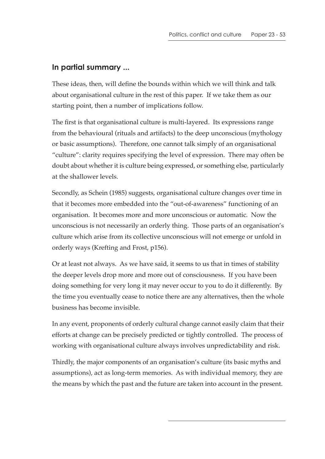#### **In partial summary ...**

These ideas, then, will define the bounds within which we will think and talk about organisational culture in the rest of this paper. If we take them as our starting point, then a number of implications follow.

The first is that organisational culture is multi-layered. Its expressions range from the behavioural (rituals and artifacts) to the deep unconscious (mythology or basic assumptions). Therefore, one cannot talk simply of an organisational "culture": clarity requires specifying the level of expression. There may often be doubt about whether it is culture being expressed, or something else, particularly at the shallower levels.

Secondly, as Schein (1985) suggests, organisational culture changes over time in that it becomes more embedded into the "out-of-awareness" functioning of an organisation. It becomes more and more unconscious or automatic. Now the unconscious is not necessarily an orderly thing. Those parts of an organisation's culture which arise from its collective unconscious will not emerge or unfold in orderly ways (Krefting and Frost, p156).

Or at least not always. As we have said, it seems to us that in times of stability the deeper levels drop more and more out of consciousness. If you have been doing something for very long it may never occur to you to do it differently. By the time you eventually cease to notice there are any alternatives, then the whole business has become invisible.

In any event, proponents of orderly cultural change cannot easily claim that their efforts at change can be precisely predicted or tightly controlled. The process of working with organisational culture always involves unpredictability and risk.

Thirdly, the major components of an organisation's culture (its basic myths and assumptions), act as long-term memories. As with individual memory, they are the means by which the past and the future are taken into account in the present.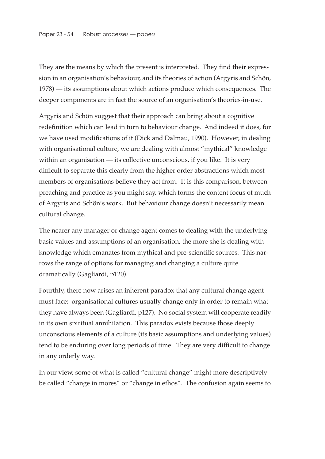They are the means by which the present is interpreted. They find their expression in an organisation's behaviour, and its theories of action (Argyris and Schön, 1978) — its assumptions about which actions produce which consequences. The deeper components are in fact the source of an organisation's theories-in-use.

Argyris and Schön suggest that their approach can bring about a cognitive redefinition which can lead in turn to behaviour change. And indeed it does, for we have used modifications of it (Dick and Dalmau, 1990). However, in dealing with organisational culture, we are dealing with almost "mythical" knowledge within an organisation — its collective unconscious, if you like. It is very difficult to separate this clearly from the higher order abstractions which most members of organisations believe they act from. It is this comparison, between preaching and practice as you might say, which forms the content focus of much of Argyris and Schön's work. But behaviour change doesn't necessarily mean cultural change.

The nearer any manager or change agent comes to dealing with the underlying basic values and assumptions of an organisation, the more she is dealing with knowledge which emanates from mythical and pre-scientific sources. This narrows the range of options for managing and changing a culture quite dramatically (Gagliardi, p120).

Fourthly, there now arises an inherent paradox that any cultural change agent must face: organisational cultures usually change only in order to remain what they have always been (Gagliardi, p127). No social system will cooperate readily in its own spiritual annihilation. This paradox exists because those deeply unconscious elements of a culture (its basic assumptions and underlying values) tend to be enduring over long periods of time. They are very difficult to change in any orderly way.

In our view, some of what is called "cultural change" might more descriptively be called "change in mores" or "change in ethos". The confusion again seems to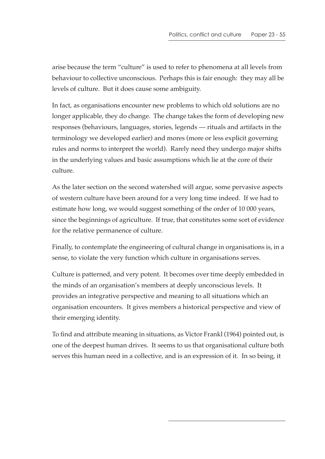arise because the term "culture" is used to refer to phenomena at all levels from behaviour to collective unconscious. Perhaps this is fair enough: they may all be levels of culture. But it does cause some ambiguity.

In fact, as organisations encounter new problems to which old solutions are no longer applicable, they do change. The change takes the form of developing new responses (behaviours, languages, stories, legends — rituals and artifacts in the terminology we developed earlier) and mores (more or less explicit governing rules and norms to interpret the world). Rarely need they undergo major shifts in the underlying values and basic assumptions which lie at the core of their culture.

As the later section on the second watershed will argue, some pervasive aspects of western culture have been around for a very long time indeed. If we had to estimate how long, we would suggest something of the order of 10 000 years, since the beginnings of agriculture. If true, that constitutes some sort of evidence for the relative permanence of culture.

Finally, to contemplate the engineering of cultural change in organisations is, in a sense, to violate the very function which culture in organisations serves.

Culture is patterned, and very potent. It becomes over time deeply embedded in the minds of an organisation's members at deeply unconscious levels. It provides an integrative perspective and meaning to all situations which an organisation encounters. It gives members a historical perspective and view of their emerging identity.

To find and attribute meaning in situations, as Victor Frankl (1964) pointed out, is one of the deepest human drives. It seems to us that organisational culture both serves this human need in a collective, and is an expression of it. In so being, it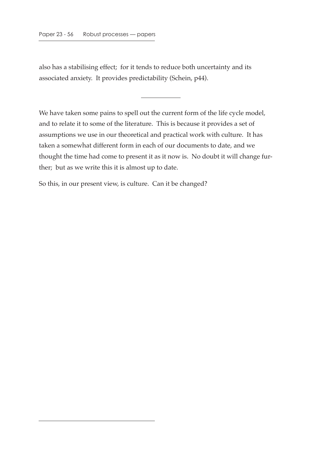also has a stabilising effect; for it tends to reduce both uncertainty and its associated anxiety. It provides predictability (Schein, p44).

We have taken some pains to spell out the current form of the life cycle model, and to relate it to some of the literature. This is because it provides a set of assumptions we use in our theoretical and practical work with culture. It has taken a somewhat different form in each of our documents to date, and we thought the time had come to present it as it now is. No doubt it will change further; but as we write this it is almost up to date.

So this, in our present view, is culture. Can it be changed?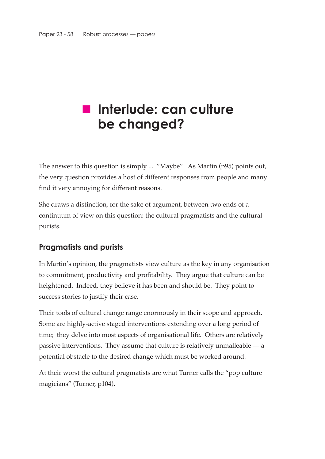# **Interlude: can culture be changed?**

The answer to this question is simply ... "Maybe". As Martin (p95) points out, the very question provides a host of different responses from people and many find it very annoying for different reasons.

She draws a distinction, for the sake of argument, between two ends of a continuum of view on this question: the cultural pragmatists and the cultural purists.

#### **Pragmatists and purists**

In Martin's opinion, the pragmatists view culture as the key in any organisation to commitment, productivity and profitability. They argue that culture can be heightened. Indeed, they believe it has been and should be. They point to success stories to justify their case.

Their tools of cultural change range enormously in their scope and approach. Some are highly-active staged interventions extending over a long period of time; they delve into most aspects of organisational life. Others are relatively passive interventions. They assume that culture is relatively unmalleable — a potential obstacle to the desired change which must be worked around.

At their worst the cultural pragmatists are what Turner calls the "pop culture magicians" (Turner, p104).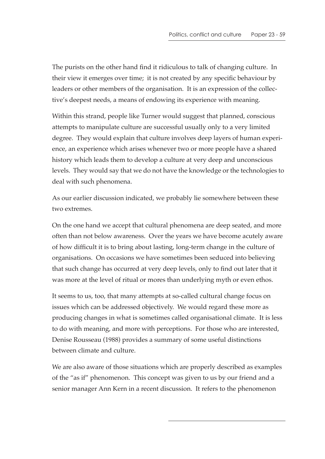The purists on the other hand find it ridiculous to talk of changing culture. In their view it emerges over time; it is not created by any specific behaviour by leaders or other members of the organisation. It is an expression of the collective's deepest needs, a means of endowing its experience with meaning.

Within this strand, people like Turner would suggest that planned, conscious attempts to manipulate culture are successful usually only to a very limited degree. They would explain that culture involves deep layers of human experience, an experience which arises whenever two or more people have a shared history which leads them to develop a culture at very deep and unconscious levels. They would say that we do not have the knowledge or the technologies to deal with such phenomena.

As our earlier discussion indicated, we probably lie somewhere between these two extremes.

On the one hand we accept that cultural phenomena are deep seated, and more often than not below awareness. Over the years we have become acutely aware of how difficult it is to bring about lasting, long-term change in the culture of organisations. On occasions we have sometimes been seduced into believing that such change has occurred at very deep levels, only to find out later that it was more at the level of ritual or mores than underlying myth or even ethos.

It seems to us, too, that many attempts at so-called cultural change focus on issues which can be addressed objectively. We would regard these more as producing changes in what is sometimes called organisational climate. It is less to do with meaning, and more with perceptions. For those who are interested, Denise Rousseau (1988) provides a summary of some useful distinctions between climate and culture.

We are also aware of those situations which are properly described as examples of the "as if" phenomenon. This concept was given to us by our friend and a senior manager Ann Kern in a recent discussion. It refers to the phenomenon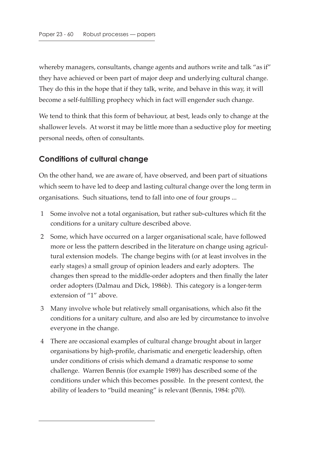whereby managers, consultants, change agents and authors write and talk "as if" they have achieved or been part of major deep and underlying cultural change. They do this in the hope that if they talk, write, and behave in this way, it will become a self-fulfilling prophecy which in fact will engender such change.

We tend to think that this form of behaviour, at best, leads only to change at the shallower levels. At worst it may be little more than a seductive ploy for meeting personal needs, often of consultants.

#### **Conditions of cultural change**

On the other hand, we are aware of, have observed, and been part of situations which seem to have led to deep and lasting cultural change over the long term in organisations. Such situations, tend to fall into one of four groups ...

- 1 Some involve not a total organisation, but rather sub-cultures which fit the conditions for a unitary culture described above.
- 2 Some, which have occurred on a larger organisational scale, have followed more or less the pattern described in the literature on change using agricultural extension models. The change begins with (or at least involves in the early stages) a small group of opinion leaders and early adopters. The changes then spread to the middle-order adopters and then finally the later order adopters (Dalmau and Dick, 1986b). This category is a longer-term extension of "1" above.
- 3 Many involve whole but relatively small organisations, which also fit the conditions for a unitary culture, and also are led by circumstance to involve everyone in the change.
- 4 There are occasional examples of cultural change brought about in larger organisations by high-profile, charismatic and energetic leadership, often under conditions of crisis which demand a dramatic response to some challenge. Warren Bennis (for example 1989) has described some of the conditions under which this becomes possible. In the present context, the ability of leaders to "build meaning" is relevant (Bennis, 1984: p70).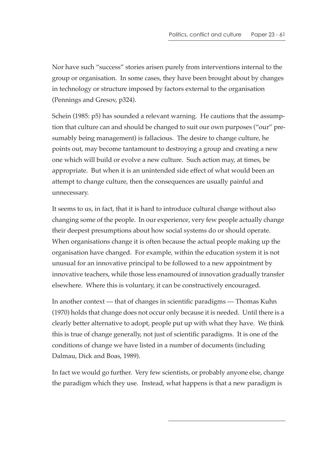Nor have such "success" stories arisen purely from interventions internal to the group or organisation. In some cases, they have been brought about by changes in technology or structure imposed by factors external to the organisation (Pennings and Gresov, p324).

Schein (1985: p5) has sounded a relevant warning. He cautions that the assumption that culture can and should be changed to suit our own purposes ("our" presumably being management) is fallacious. The desire to change culture, he points out, may become tantamount to destroying a group and creating a new one which will build or evolve a new culture. Such action may, at times, be appropriate. But when it is an unintended side effect of what would been an attempt to change culture, then the consequences are usually painful and unnecessary.

It seems to us, in fact, that it is hard to introduce cultural change without also changing some of the people. In our experience, very few people actually change their deepest presumptions about how social systems do or should operate. When organisations change it is often because the actual people making up the organisation have changed. For example, within the education system it is not unusual for an innovative principal to be followed to a new appointment by innovative teachers, while those less enamoured of innovation gradually transfer elsewhere. Where this is voluntary, it can be constructively encouraged.

In another context — that of changes in scientific paradigms — Thomas Kuhn (1970) holds that change does not occur only because it is needed. Until there is a clearly better alternative to adopt, people put up with what they have. We think this is true of change generally, not just of scientific paradigms. It is one of the conditions of change we have listed in a number of documents (including Dalmau, Dick and Boas, 1989).

In fact we would go further. Very few scientists, or probably anyone else, change the paradigm which they use. Instead, what happens is that a new paradigm is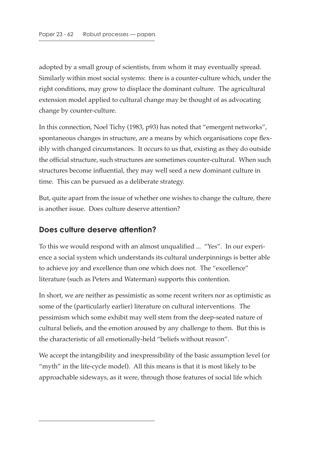adopted by a small group of scientists, from whom it may eventually spread. Similarly within most social systems: there is a counter-culture which, under the right conditions, may grow to displace the dominant culture. The agricultural extension model applied to cultural change may be thought of as advocating change by counter-culture.

In this connection, Noel Tichy (1983, p93) has noted that "emergent networks", spontaneous changes in structure, are a means by which organisations cope flexibly with changed circumstances. It occurs to us that, existing as they do outside the official structure, such structures are sometimes counter-cultural. When such structures become influential, they may well seed a new dominant culture in time. This can be pursued as a deliberate strategy.

But, quite apart from the issue of whether one wishes to change the culture, there is another issue. Does culture deserve attention?

#### **Does culture deserve attention?**

To this we would respond with an almost unqualified ... "Yes". In our experience a social system which understands its cultural underpinnings is better able to achieve joy and excellence than one which does not. The "excellence" literature (such as Peters and Waterman) supports this contention.

In short, we are neither as pessimistic as some recent writers nor as optimistic as some of the (particularly earlier) literature on cultural interventions. The pessimism which some exhibit may well stem from the deep-seated nature of cultural beliefs, and the emotion aroused by any challenge to them. But this is the characteristic of all emotionally-held "beliefs without reason".

We accept the intangibility and inexpressibility of the basic assumption level (or "myth" in the life-cycle model). All this means is that it is most likely to be approachable sideways, as it were, through those features of social life which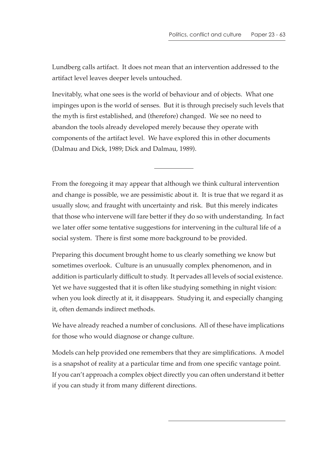Lundberg calls artifact. It does not mean that an intervention addressed to the artifact level leaves deeper levels untouched.

Inevitably, what one sees is the world of behaviour and of objects. What one impinges upon is the world of senses. But it is through precisely such levels that the myth is first established, and (therefore) changed. We see no need to abandon the tools already developed merely because they operate with components of the artifact level. We have explored this in other documents (Dalmau and Dick, 1989; Dick and Dalmau, 1989).

From the foregoing it may appear that although we think cultural intervention and change is possible, we are pessimistic about it. It is true that we regard it as usually slow, and fraught with uncertainty and risk. But this merely indicates that those who intervene will fare better if they do so with understanding. In fact we later offer some tentative suggestions for intervening in the cultural life of a social system. There is first some more background to be provided.

Preparing this document brought home to us clearly something we know but sometimes overlook. Culture is an unusually complex phenomenon, and in addition is particularly difficult to study. It pervades all levels of social existence. Yet we have suggested that it is often like studying something in night vision: when you look directly at it, it disappears. Studying it, and especially changing it, often demands indirect methods.

We have already reached a number of conclusions. All of these have implications for those who would diagnose or change culture.

Models can help provided one remembers that they are simplifications. A model is a snapshot of reality at a particular time and from one specific vantage point. If you can't approach a complex object directly you can often understand it better if you can study it from many different directions.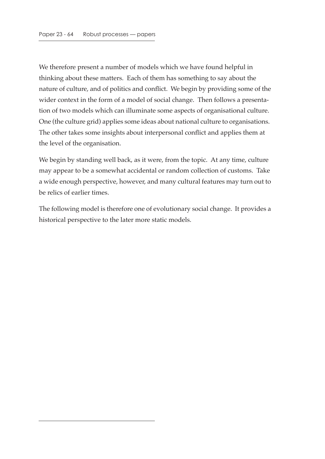We therefore present a number of models which we have found helpful in thinking about these matters. Each of them has something to say about the nature of culture, and of politics and conflict. We begin by providing some of the wider context in the form of a model of social change. Then follows a presentation of two models which can illuminate some aspects of organisational culture. One (the culture grid) applies some ideas about national culture to organisations. The other takes some insights about interpersonal conflict and applies them at the level of the organisation.

We begin by standing well back, as it were, from the topic. At any time, culture may appear to be a somewhat accidental or random collection of customs. Take a wide enough perspective, however, and many cultural features may turn out to be relics of earlier times.

The following model is therefore one of evolutionary social change. It provides a historical perspective to the later more static models.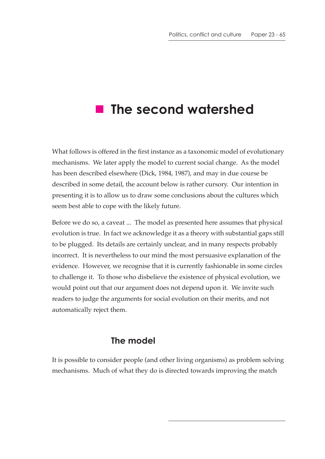# **The second watershed**

What follows is offered in the first instance as a taxonomic model of evolutionary mechanisms. We later apply the model to current social change. As the model has been described elsewhere (Dick, 1984, 1987), and may in due course be described in some detail, the account below is rather cursory. Our intention in presenting it is to allow us to draw some conclusions about the cultures which seem best able to cope with the likely future.

Before we do so, a caveat ... The model as presented here assumes that physical evolution is true. In fact we acknowledge it as a theory with substantial gaps still to be plugged. Its details are certainly unclear, and in many respects probably incorrect. It is nevertheless to our mind the most persuasive explanation of the evidence. However, we recognise that it is currently fashionable in some circles to challenge it. To those who disbelieve the existence of physical evolution, we would point out that our argument does not depend upon it. We invite such readers to judge the arguments for social evolution on their merits, and not automatically reject them.

#### **The model**

It is possible to consider people (and other living organisms) as problem solving mechanisms. Much of what they do is directed towards improving the match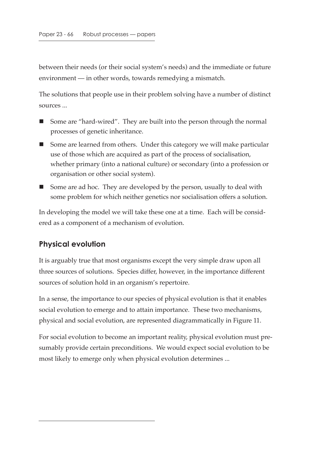between their needs (or their social system's needs) and the immediate or future environment — in other words, towards remedying a mismatch.

The solutions that people use in their problem solving have a number of distinct sources ...

- Some are "hard-wired". They are built into the person through the normal processes of genetic inheritance.
- Some are learned from others. Under this category we will make particular use of those which are acquired as part of the process of socialisation, whether primary (into a national culture) or secondary (into a profession or organisation or other social system).
- Some are ad hoc. They are developed by the person, usually to deal with some problem for which neither genetics nor socialisation offers a solution.

In developing the model we will take these one at a time. Each will be considered as a component of a mechanism of evolution.

#### **Physical evolution**

It is arguably true that most organisms except the very simple draw upon all three sources of solutions. Species differ, however, in the importance different sources of solution hold in an organism's repertoire.

In a sense, the importance to our species of physical evolution is that it enables social evolution to emerge and to attain importance. These two mechanisms, physical and social evolution, are represented diagrammatically in Figure 11.

For social evolution to become an important reality, physical evolution must presumably provide certain preconditions. We would expect social evolution to be most likely to emerge only when physical evolution determines ...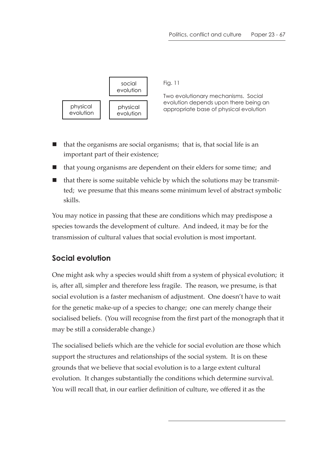

Fig. 11

Two evolutionary mechanisms. Social evolution depends upon there being an physical physical physical appropriate base of physical evolution

- $\blacksquare$  that the organisms are social organisms; that is, that social life is an important part of their existence;
- that young organisms are dependent on their elders for some time; and
- that there is some suitable vehicle by which the solutions may be transmitted; we presume that this means some minimum level of abstract symbolic skills.

You may notice in passing that these are conditions which may predispose a species towards the development of culture. And indeed, it may be for the transmission of cultural values that social evolution is most important.

# **Social evolution**

One might ask why a species would shift from a system of physical evolution; it is, after all, simpler and therefore less fragile. The reason, we presume, is that social evolution is a faster mechanism of adjustment. One doesn't have to wait for the genetic make-up of a species to change; one can merely change their socialised beliefs. (You will recognise from the first part of the monograph that it may be still a considerable change.)

The socialised beliefs which are the vehicle for social evolution are those which support the structures and relationships of the social system. It is on these grounds that we believe that social evolution is to a large extent cultural evolution. It changes substantially the conditions which determine survival. You will recall that, in our earlier definition of culture, we offered it as the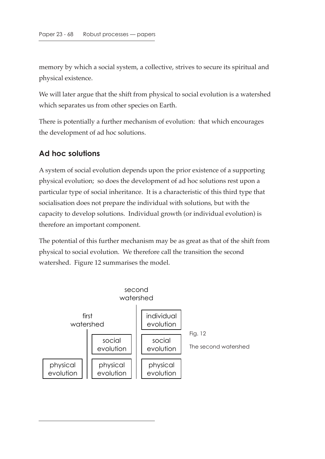memory by which a social system, a collective, strives to secure its spiritual and physical existence.

We will later argue that the shift from physical to social evolution is a watershed which separates us from other species on Earth.

There is potentially a further mechanism of evolution: that which encourages the development of ad hoc solutions.

#### **Ad hoc solutions**

A system of social evolution depends upon the prior existence of a supporting physical evolution; so does the development of ad hoc solutions rest upon a particular type of social inheritance. It is a characteristic of this third type that socialisation does not prepare the individual with solutions, but with the capacity to develop solutions. Individual growth (or individual evolution) is therefore an important component.

The potential of this further mechanism may be as great as that of the shift from physical to social evolution. We therefore call the transition the second watershed. Figure 12 summarises the model.

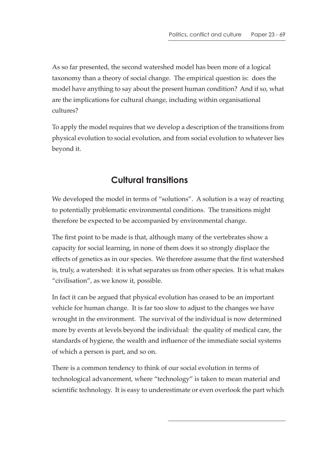As so far presented, the second watershed model has been more of a logical taxonomy than a theory of social change. The empirical question is: does the model have anything to say about the present human condition? And if so, what are the implications for cultural change, including within organisational cultures?

To apply the model requires that we develop a description of the transitions from physical evolution to social evolution, and from social evolution to whatever lies beyond it.

# **Cultural transitions**

We developed the model in terms of "solutions". A solution is a way of reacting to potentially problematic environmental conditions. The transitions might therefore be expected to be accompanied by environmental change.

The first point to be made is that, although many of the vertebrates show a capacity for social learning, in none of them does it so strongly displace the effects of genetics as in our species. We therefore assume that the first watershed is, truly, a watershed: it is what separates us from other species. It is what makes "civilisation", as we know it, possible.

In fact it can be argued that physical evolution has ceased to be an important vehicle for human change. It is far too slow to adjust to the changes we have wrought in the environment. The survival of the individual is now determined more by events at levels beyond the individual: the quality of medical care, the standards of hygiene, the wealth and influence of the immediate social systems of which a person is part, and so on.

There is a common tendency to think of our social evolution in terms of technological advancement, where "technology" is taken to mean material and scientific technology. It is easy to underestimate or even overlook the part which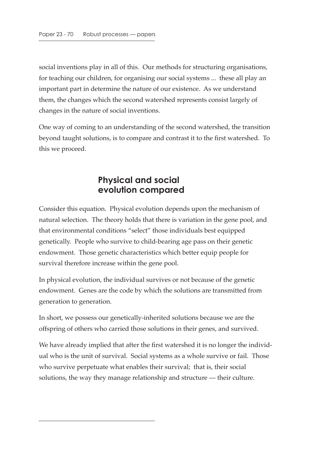social inventions play in all of this. Our methods for structuring organisations, for teaching our children, for organising our social systems ... these all play an important part in determine the nature of our existence. As we understand them, the changes which the second watershed represents consist largely of changes in the nature of social inventions.

One way of coming to an understanding of the second watershed, the transition beyond taught solutions, is to compare and contrast it to the first watershed. To this we proceed.

# **Physical and social evolution compared**

Consider this equation. Physical evolution depends upon the mechanism of natural selection. The theory holds that there is variation in the gene pool, and that environmental conditions "select" those individuals best equipped genetically. People who survive to child-bearing age pass on their genetic endowment. Those genetic characteristics which better equip people for survival therefore increase within the gene pool.

In physical evolution, the individual survives or not because of the genetic endowment. Genes are the code by which the solutions are transmitted from generation to generation.

In short, we possess our genetically-inherited solutions because we are the offspring of others who carried those solutions in their genes, and survived.

We have already implied that after the first watershed it is no longer the individual who is the unit of survival. Social systems as a whole survive or fail. Those who survive perpetuate what enables their survival; that is, their social solutions, the way they manage relationship and structure — their culture.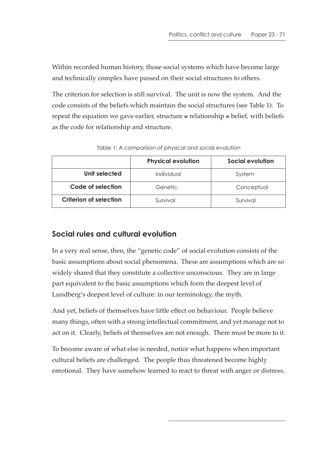Within recorded human history, those social systems which have become large and technically complex have passed on their social structures to others.

The criterion for selection is still survival. The unit is now the system. And the code consists of the beliefs which maintain the social structures (see Table 1). To repeat the equation we gave earlier, structure  $\approx$  relationship  $\approx$  belief, with beliefs as the code for relationship and structure.

|                               | <b>Physical evolution</b> | Social evolution |
|-------------------------------|---------------------------|------------------|
| Unit selected                 | Individual                | System           |
| Code of selection             | Genetic                   | Conceptual       |
| <b>Criterion of selection</b> | Survival                  | Survival         |

Table 1: A comparison of physical and social evolution

## **Social rules and cultural evolution**

In a very real sense, then, the "genetic code" of social evolution consists of the basic assumptions about social phenomena. These are assumptions which are so widely shared that they constitute a collective unconscious. They are in large part equivalent to the basic assumptions which form the deepest level of Lundberg's deepest level of culture: in our terminology, the myth.

And yet, beliefs of themselves have little effect on behaviour. People believe many things, often with a strong intellectual commitment, and yet manage not to act on it. Clearly, beliefs of themselves are not enough. There must be more to it.

To become aware of what else is needed, notice what happens when important cultural beliefs are challenged. The people thus threatened become highly emotional. They have somehow learned to react to threat with anger or distress.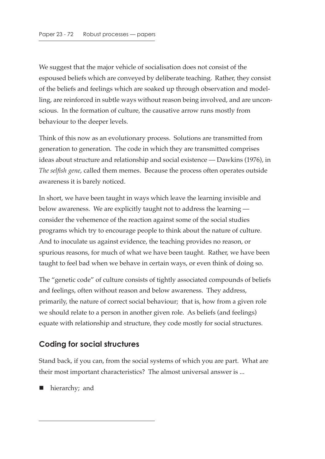We suggest that the major vehicle of socialisation does not consist of the espoused beliefs which are conveyed by deliberate teaching. Rather, they consist of the beliefs and feelings which are soaked up through observation and modelling, are reinforced in subtle ways without reason being involved, and are unconscious. In the formation of culture, the causative arrow runs mostly from behaviour to the deeper levels.

Think of this now as an evolutionary process. Solutions are transmitted from generation to generation. The code in which they are transmitted comprises ideas about structure and relationship and social existence — Dawkins (1976), in *The selfish gene*, called them memes. Because the process often operates outside awareness it is barely noticed.

In short, we have been taught in ways which leave the learning invisible and below awareness. We are explicitly taught not to address the learning consider the vehemence of the reaction against some of the social studies programs which try to encourage people to think about the nature of culture. And to inoculate us against evidence, the teaching provides no reason, or spurious reasons, for much of what we have been taught. Rather, we have been taught to feel bad when we behave in certain ways, or even think of doing so.

The "genetic code" of culture consists of tightly associated compounds of beliefs and feelings, often without reason and below awareness. They address, primarily, the nature of correct social behaviour; that is, how from a given role we should relate to a person in another given role. As beliefs (and feelings) equate with relationship and structure, they code mostly for social structures.

#### **Coding for social structures**

Stand back, if you can, from the social systems of which you are part. What are their most important characteristics? The almost universal answer is ...

hierarchy; and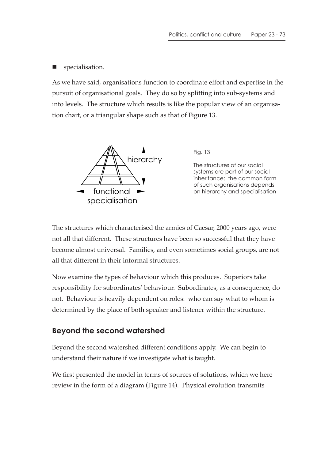**specialisation.** 

As we have said, organisations function to coordinate effort and expertise in the pursuit of organisational goals. They do so by splitting into sub-systems and into levels. The structure which results is like the popular view of an organisation chart, or a triangular shape such as that of Figure 13.



Fig. 13

The structures of our social systems are part of our social inheritance; the common form of such organisations depends on hierarchy and specialisation

The structures which characterised the armies of Caesar, 2000 years ago, were not all that different. These structures have been so successful that they have become almost universal. Families, and even sometimes social groups, are not all that different in their informal structures.

Now examine the types of behaviour which this produces. Superiors take responsibility for subordinates' behaviour. Subordinates, as a consequence, do not. Behaviour is heavily dependent on roles: who can say what to whom is determined by the place of both speaker and listener within the structure.

#### **Beyond the second watershed**

Beyond the second watershed different conditions apply. We can begin to understand their nature if we investigate what is taught.

We first presented the model in terms of sources of solutions, which we here review in the form of a diagram (Figure 14). Physical evolution transmits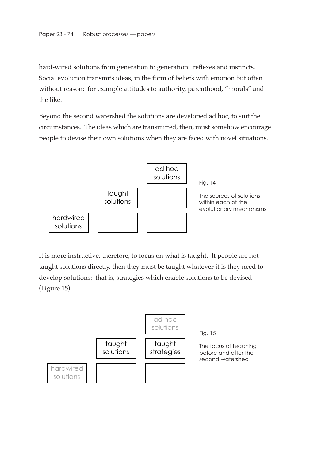hard-wired solutions from generation to generation: reflexes and instincts. Social evolution transmits ideas, in the form of beliefs with emotion but often without reason: for example attitudes to authority, parenthood, "morals" and the like.

Beyond the second watershed the solutions are developed ad hoc, to suit the circumstances. The ideas which are transmitted, then, must somehow encourage people to devise their own solutions when they are faced with novel situations.



It is more instructive, therefore, to focus on what is taught. If people are not taught solutions directly, then they must be taught whatever it is they need to develop solutions: that is, strategies which enable solutions to be devised (Figure 15).

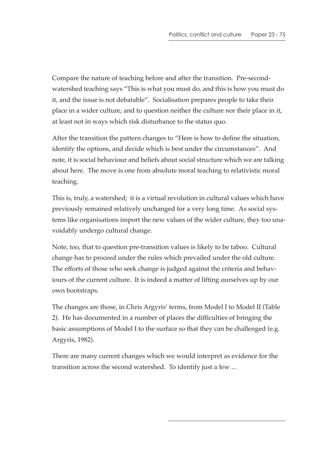Compare the nature of teaching before and after the transition. Pre-secondwatershed teaching says "This is what you must do, and this is how you must do it, and the issue is not debatable". Socialisation prepares people to take their place in a wider culture, and to question neither the culture nor their place in it, at least not in ways which risk disturbance to the status quo.

After the transition the pattern changes to "Here is how to define the situation, identify the options, and decide which is best under the circumstances". And note, it is social behaviour and beliefs about social structure which we are talking about here. The move is one from absolute moral teaching to relativistic moral teaching.

This is, truly, a watershed; it is a virtual revolution in cultural values which have previously remained relatively unchanged for a very long time. As social systems like organisations import the new values of the wider culture, they too unavoidably undergo cultural change.

Note, too, that to question pre-transition values is likely to be taboo. Cultural change has to proceed under the rules which prevailed under the old culture. The efforts of those who seek change is judged against the criteria and behaviours of the current culture. It is indeed a matter of lifting ourselves up by our own bootstraps.

The changes are those, in Chris Argyris' terms, from Model I to Model II (Table 2). He has documented in a number of places the difficulties of bringing the basic assumptions of Model I to the surface so that they can be challenged (e.g. Argyris, 1982).

There are many current changes which we would interpret as evidence for the transition across the second watershed. To identify just a few ...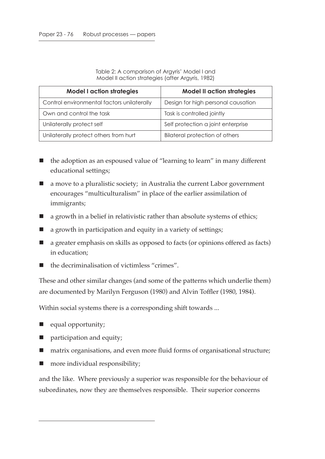Table 2: A comparison of Argyris' Model I and Model II action strategies (after Argyris, 1982)

| <b>Model I action strategies</b>           | <b>Model II action strategies</b>     |  |
|--------------------------------------------|---------------------------------------|--|
| Control environmental factors unilaterally | Design for high personal causation    |  |
| Own and control the task                   | Task is controlled jointly            |  |
| Unilaterally protect self                  | Self protection a joint enterprise    |  |
| Unilaterally protect others from hurt      | <b>Bilateral protection of others</b> |  |

- the adoption as an espoused value of "learning to learn" in many different educational settings;
- a move to a pluralistic society; in Australia the current Labor government encourages "multiculturalism" in place of the earlier assimilation of immigrants;
- $\blacksquare$  a growth in a belief in relativistic rather than absolute systems of ethics;
- a growth in participation and equity in a variety of settings;
- a greater emphasis on skills as opposed to facts (or opinions offered as facts) in education;
- $\blacksquare$  the decriminalisation of victimless "crimes".

These and other similar changes (and some of the patterns which underlie them) are documented by Marilyn Ferguson (1980) and Alvin Toffler (1980, 1984).

Within social systems there is a corresponding shift towards ...

- equal opportunity;
- **participation and equity;**
- matrix organisations, and even more fluid forms of organisational structure;
- more individual responsibility;

and the like. Where previously a superior was responsible for the behaviour of subordinates, now they are themselves responsible. Their superior concerns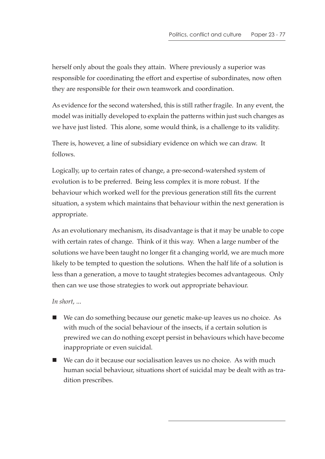herself only about the goals they attain. Where previously a superior was responsible for coordinating the effort and expertise of subordinates, now often they are responsible for their own teamwork and coordination.

As evidence for the second watershed, this is still rather fragile. In any event, the model was initially developed to explain the patterns within just such changes as we have just listed. This alone, some would think, is a challenge to its validity.

There is, however, a line of subsidiary evidence on which we can draw. It follows.

Logically, up to certain rates of change, a pre-second-watershed system of evolution is to be preferred. Being less complex it is more robust. If the behaviour which worked well for the previous generation still fits the current situation, a system which maintains that behaviour within the next generation is appropriate.

As an evolutionary mechanism, its disadvantage is that it may be unable to cope with certain rates of change. Think of it this way. When a large number of the solutions we have been taught no longer fit a changing world, we are much more likely to be tempted to question the solutions. When the half life of a solution is less than a generation, a move to taught strategies becomes advantageous. Only then can we use those strategies to work out appropriate behaviour.

#### *In short*, ...

- We can do something because our genetic make-up leaves us no choice. As with much of the social behaviour of the insects, if a certain solution is prewired we can do nothing except persist in behaviours which have become inappropriate or even suicidal.
- We can do it because our socialisation leaves us no choice. As with much human social behaviour, situations short of suicidal may be dealt with as tradition prescribes.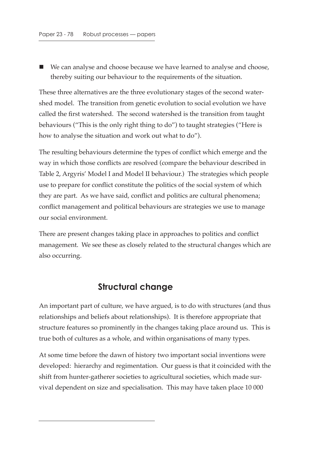We can analyse and choose because we have learned to analyse and choose, thereby suiting our behaviour to the requirements of the situation.

These three alternatives are the three evolutionary stages of the second watershed model. The transition from genetic evolution to social evolution we have called the first watershed. The second watershed is the transition from taught behaviours ("This is the only right thing to do") to taught strategies ("Here is how to analyse the situation and work out what to do").

The resulting behaviours determine the types of conflict which emerge and the way in which those conflicts are resolved (compare the behaviour described in Table 2, Argyris' Model I and Model II behaviour.) The strategies which people use to prepare for conflict constitute the politics of the social system of which they are part. As we have said, conflict and politics are cultural phenomena; conflict management and political behaviours are strategies we use to manage our social environment.

There are present changes taking place in approaches to politics and conflict management. We see these as closely related to the structural changes which are also occurring.

### **Structural change**

An important part of culture, we have argued, is to do with structures (and thus relationships and beliefs about relationships). It is therefore appropriate that structure features so prominently in the changes taking place around us. This is true both of cultures as a whole, and within organisations of many types.

At some time before the dawn of history two important social inventions were developed: hierarchy and regimentation. Our guess is that it coincided with the shift from hunter-gatherer societies to agricultural societies, which made survival dependent on size and specialisation. This may have taken place 10 000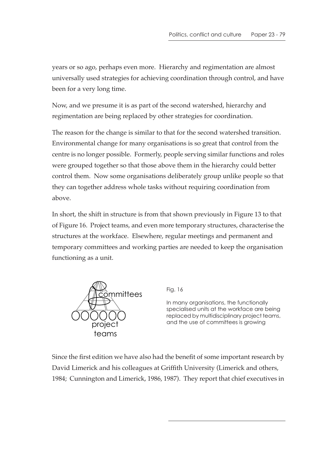years or so ago, perhaps even more. Hierarchy and regimentation are almost universally used strategies for achieving coordination through control, and have been for a very long time.

Now, and we presume it is as part of the second watershed, hierarchy and regimentation are being replaced by other strategies for coordination.

The reason for the change is similar to that for the second watershed transition. Environmental change for many organisations is so great that control from the centre is no longer possible. Formerly, people serving similar functions and roles were grouped together so that those above them in the hierarchy could better control them. Now some organisations deliberately group unlike people so that they can together address whole tasks without requiring coordination from above.

In short, the shift in structure is from that shown previously in Figure 13 to that of Figure 16. Project teams, and even more temporary structures, characterise the structures at the workface. Elsewhere, regular meetings and permanent and temporary committees and working parties are needed to keep the organisation functioning as a unit.



Fig. 16

In many organisations, the functionally specialised units at the workface are being replaced by multidisciplinary project teams, and the use of committees is growing

Since the first edition we have also had the benefit of some important research by David Limerick and his colleagues at Griffith University (Limerick and others, 1984; Cunnington and Limerick, 1986, 1987). They report that chief executives in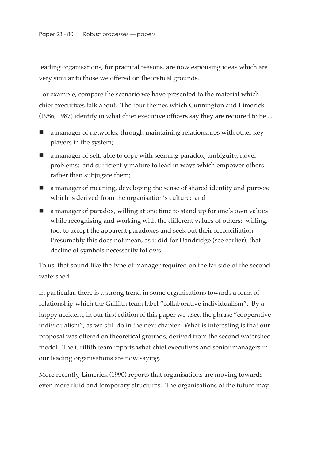leading organisations, for practical reasons, are now espousing ideas which are very similar to those we offered on theoretical grounds.

For example, compare the scenario we have presented to the material which chief executives talk about. The four themes which Cunnington and Limerick (1986, 1987) identify in what chief executive officers say they are required to be ...

- a manager of networks, through maintaining relationships with other key players in the system;
- a manager of self, able to cope with seeming paradox, ambiguity, novel problems; and sufficiently mature to lead in ways which empower others rather than subjugate them;
- a manager of meaning, developing the sense of shared identity and purpose which is derived from the organisation's culture; and
- a manager of paradox, willing at one time to stand up for one's own values while recognising and working with the different values of others; willing, too, to accept the apparent paradoxes and seek out their reconciliation. Presumably this does not mean, as it did for Dandridge (see earlier), that decline of symbols necessarily follows.

To us, that sound like the type of manager required on the far side of the second watershed.

In particular, there is a strong trend in some organisations towards a form of relationship which the Griffith team label "collaborative individualism". By a happy accident, in our first edition of this paper we used the phrase "cooperative individualism", as we still do in the next chapter. What is interesting is that our proposal was offered on theoretical grounds, derived from the second watershed model. The Griffith team reports what chief executives and senior managers in our leading organisations are now saying.

More recently, Limerick (1990) reports that organisations are moving towards even more fluid and temporary structures. The organisations of the future may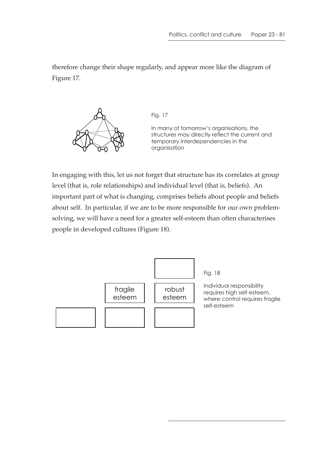therefore change their shape regularly, and appear more like the diagram of Figure 17.



Fig. 17

In many of tomorrow's organisations, the structures may directly reflect the current and temporary interdependencies in the organisation

In engaging with this, let us not forget that structure has its correlates at group level (that is, role relationships) and individual level (that is, beliefs). An important part of what is changing, comprises beliefs about people and beliefs about self. In particular, if we are to be more responsible for our own problemsolving, we will have a need for a greater self-esteem than often characterises people in developed cultures (Figure 18).

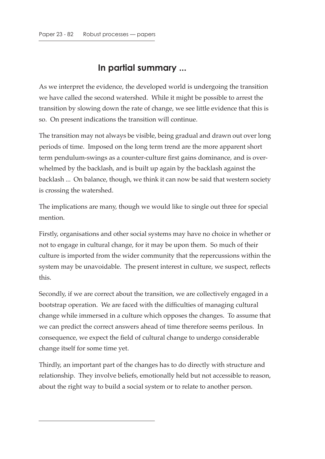### **In partial summary ...**

As we interpret the evidence, the developed world is undergoing the transition we have called the second watershed. While it might be possible to arrest the transition by slowing down the rate of change, we see little evidence that this is so. On present indications the transition will continue.

The transition may not always be visible, being gradual and drawn out over long periods of time. Imposed on the long term trend are the more apparent short term pendulum-swings as a counter-culture first gains dominance, and is overwhelmed by the backlash, and is built up again by the backlash against the backlash ... On balance, though, we think it can now be said that western society is crossing the watershed.

The implications are many, though we would like to single out three for special mention.

Firstly, organisations and other social systems may have no choice in whether or not to engage in cultural change, for it may be upon them. So much of their culture is imported from the wider community that the repercussions within the system may be unavoidable. The present interest in culture, we suspect, reflects this.

Secondly, if we are correct about the transition, we are collectively engaged in a bootstrap operation. We are faced with the difficulties of managing cultural change while immersed in a culture which opposes the changes. To assume that we can predict the correct answers ahead of time therefore seems perilous. In consequence, we expect the field of cultural change to undergo considerable change itself for some time yet.

Thirdly, an important part of the changes has to do directly with structure and relationship. They involve beliefs, emotionally held but not accessible to reason, about the right way to build a social system or to relate to another person.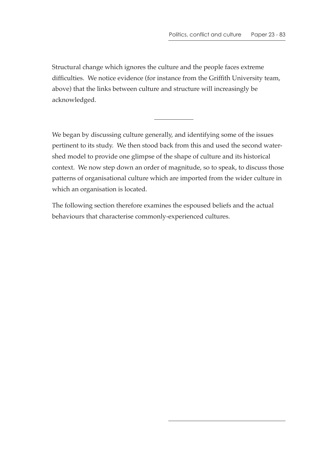Structural change which ignores the culture and the people faces extreme difficulties. We notice evidence (for instance from the Griffith University team, above) that the links between culture and structure will increasingly be acknowledged.

We began by discussing culture generally, and identifying some of the issues pertinent to its study. We then stood back from this and used the second watershed model to provide one glimpse of the shape of culture and its historical context. We now step down an order of magnitude, so to speak, to discuss those patterns of organisational culture which are imported from the wider culture in which an organisation is located.

The following section therefore examines the espoused beliefs and the actual behaviours that characterise commonly-experienced cultures.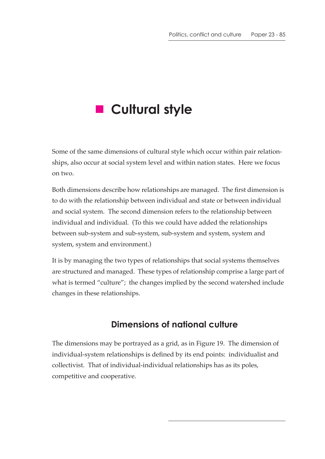# **R** Cultural style

Some of the same dimensions of cultural style which occur within pair relationships, also occur at social system level and within nation states. Here we focus on two.

Both dimensions describe how relationships are managed. The first dimension is to do with the relationship between individual and state or between individual and social system. The second dimension refers to the relationship between individual and individual. (To this we could have added the relationships between sub-system and sub-system, sub-system and system, system and system, system and environment.)

It is by managing the two types of relationships that social systems themselves are structured and managed. These types of relationship comprise a large part of what is termed "culture"; the changes implied by the second watershed include changes in these relationships.

# **Dimensions of national culture**

The dimensions may be portrayed as a grid, as in Figure 19. The dimension of individual-system relationships is defined by its end points: individualist and collectivist. That of individual-individual relationships has as its poles, competitive and cooperative.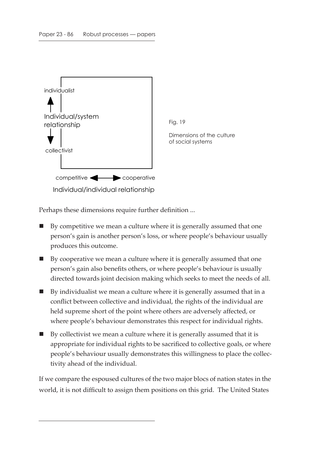

Perhaps these dimensions require further definition ...

- By competitive we mean a culture where it is generally assumed that one person's gain is another person's loss, or where people's behaviour usually produces this outcome.
- $\blacksquare$  By cooperative we mean a culture where it is generally assumed that one person's gain also benefits others, or where people's behaviour is usually directed towards joint decision making which seeks to meet the needs of all.
- By individualist we mean a culture where it is generally assumed that in a conflict between collective and individual, the rights of the individual are held supreme short of the point where others are adversely affected, or where people's behaviour demonstrates this respect for individual rights.
- $\blacksquare$  By collectivist we mean a culture where it is generally assumed that it is appropriate for individual rights to be sacrificed to collective goals, or where people's behaviour usually demonstrates this willingness to place the collectivity ahead of the individual.

If we compare the espoused cultures of the two major blocs of nation states in the world, it is not difficult to assign them positions on this grid. The United States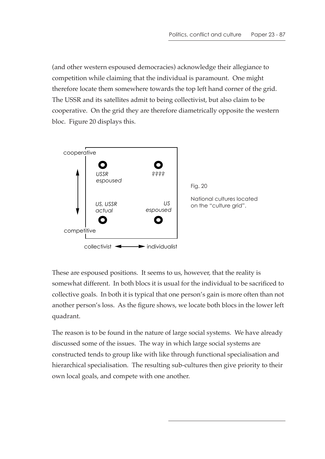(and other western espoused democracies) acknowledge their allegiance to competition while claiming that the individual is paramount. One might therefore locate them somewhere towards the top left hand corner of the grid. The USSR and its satellites admit to being collectivist, but also claim to be cooperative. On the grid they are therefore diametrically opposite the western bloc. Figure 20 displays this.



These are espoused positions. It seems to us, however, that the reality is somewhat different. In both blocs it is usual for the individual to be sacrificed to collective goals. In both it is typical that one person's gain is more often than not another person's loss. As the figure shows, we locate both blocs in the lower left quadrant.

The reason is to be found in the nature of large social systems. We have already discussed some of the issues. The way in which large social systems are constructed tends to group like with like through functional specialisation and hierarchical specialisation. The resulting sub-cultures then give priority to their own local goals, and compete with one another.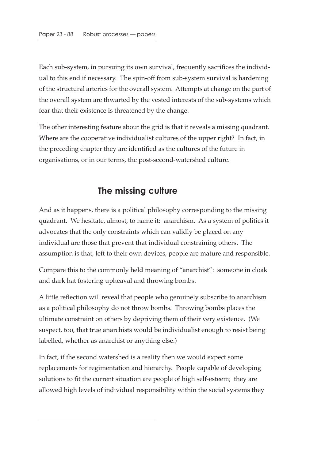Each sub-system, in pursuing its own survival, frequently sacrifices the individual to this end if necessary. The spin-off from sub-system survival is hardening of the structural arteries for the overall system. Attempts at change on the part of the overall system are thwarted by the vested interests of the sub-systems which fear that their existence is threatened by the change.

The other interesting feature about the grid is that it reveals a missing quadrant. Where are the cooperative individualist cultures of the upper right? In fact, in the preceding chapter they are identified as the cultures of the future in organisations, or in our terms, the post-second-watershed culture.

## **The missing culture**

And as it happens, there is a political philosophy corresponding to the missing quadrant. We hesitate, almost, to name it: anarchism. As a system of politics it advocates that the only constraints which can validly be placed on any individual are those that prevent that individual constraining others. The assumption is that, left to their own devices, people are mature and responsible.

Compare this to the commonly held meaning of "anarchist": someone in cloak and dark hat fostering upheaval and throwing bombs.

A little reflection will reveal that people who genuinely subscribe to anarchism as a political philosophy do not throw bombs. Throwing bombs places the ultimate constraint on others by depriving them of their very existence. (We suspect, too, that true anarchists would be individualist enough to resist being labelled, whether as anarchist or anything else.)

In fact, if the second watershed is a reality then we would expect some replacements for regimentation and hierarchy. People capable of developing solutions to fit the current situation are people of high self-esteem; they are allowed high levels of individual responsibility within the social systems they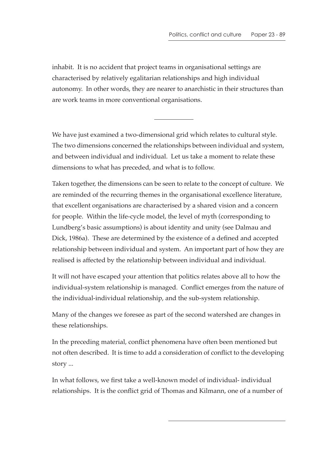inhabit. It is no accident that project teams in organisational settings are characterised by relatively egalitarian relationships and high individual autonomy. In other words, they are nearer to anarchistic in their structures than are work teams in more conventional organisations.

We have just examined a two-dimensional grid which relates to cultural style. The two dimensions concerned the relationships between individual and system, and between individual and individual. Let us take a moment to relate these dimensions to what has preceded, and what is to follow.

Taken together, the dimensions can be seen to relate to the concept of culture. We are reminded of the recurring themes in the organisational excellence literature, that excellent organisations are characterised by a shared vision and a concern for people. Within the life-cycle model, the level of myth (corresponding to Lundberg's basic assumptions) is about identity and unity (see Dalmau and Dick, 1986a). These are determined by the existence of a defined and accepted relationship between individual and system. An important part of how they are realised is affected by the relationship between individual and individual.

It will not have escaped your attention that politics relates above all to how the individual-system relationship is managed. Conflict emerges from the nature of the individual-individual relationship, and the sub-system relationship.

Many of the changes we foresee as part of the second watershed are changes in these relationships.

In the preceding material, conflict phenomena have often been mentioned but not often described. It is time to add a consideration of conflict to the developing story ...

In what follows, we first take a well-known model of individual- individual relationships. It is the conflict grid of Thomas and Kilmann, one of a number of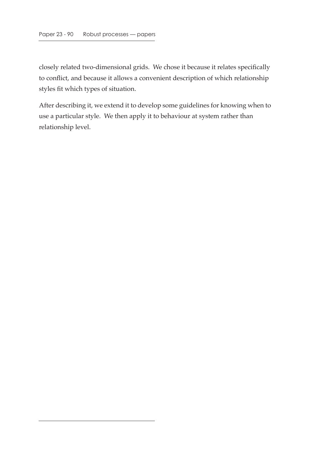closely related two-dimensional grids. We chose it because it relates specifically to conflict, and because it allows a convenient description of which relationship styles fit which types of situation.

After describing it, we extend it to develop some guidelines for knowing when to use a particular style. We then apply it to behaviour at system rather than relationship level.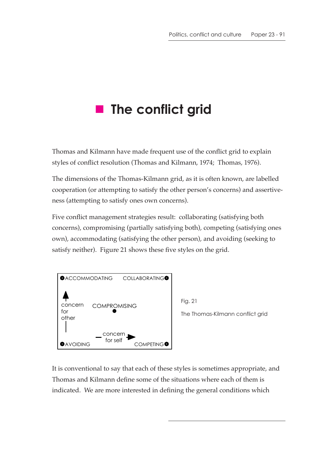# **The conflict grid**

Thomas and Kilmann have made frequent use of the conflict grid to explain styles of conflict resolution (Thomas and Kilmann, 1974; Thomas, 1976).

The dimensions of the Thomas-Kilmann grid, as it is often known, are labelled cooperation (or attempting to satisfy the other person's concerns) and assertiveness (attempting to satisfy ones own concerns).

Five conflict management strategies result: collaborating (satisfying both concerns), compromising (partially satisfying both), competing (satisfying ones own), accommodating (satisfying the other person), and avoiding (seeking to satisfy neither). Figure 21 shows these five styles on the grid.





It is conventional to say that each of these styles is sometimes appropriate, and Thomas and Kilmann define some of the situations where each of them is indicated. We are more interested in defining the general conditions which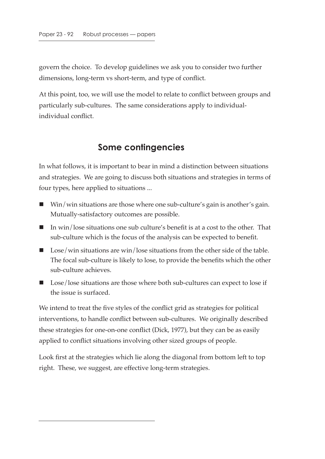govern the choice. To develop guidelines we ask you to consider two further dimensions, long-term vs short-term, and type of conflict.

At this point, too, we will use the model to relate to conflict between groups and particularly sub-cultures. The same considerations apply to individualindividual conflict.

#### **Some contingencies**

In what follows, it is important to bear in mind a distinction between situations and strategies. We are going to discuss both situations and strategies in terms of four types, here applied to situations ...

- Win/win situations are those where one sub-culture's gain is another's gain. Mutually-satisfactory outcomes are possible.
- In win/lose situations one sub culture's benefit is at a cost to the other. That sub-culture which is the focus of the analysis can be expected to benefit.
- Lose/win situations are win/lose situations from the other side of the table. The focal sub-culture is likely to lose, to provide the benefits which the other sub-culture achieves.
- Lose/lose situations are those where both sub-cultures can expect to lose if the issue is surfaced.

We intend to treat the five styles of the conflict grid as strategies for political interventions, to handle conflict between sub-cultures. We originally described these strategies for one-on-one conflict (Dick, 1977), but they can be as easily applied to conflict situations involving other sized groups of people.

Look first at the strategies which lie along the diagonal from bottom left to top right. These, we suggest, are effective long-term strategies.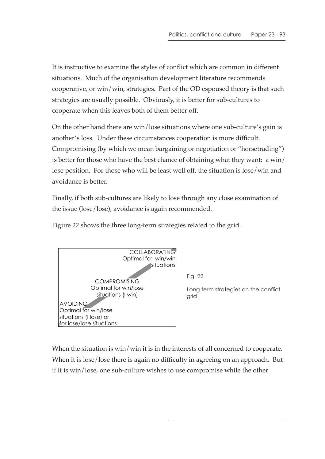It is instructive to examine the styles of conflict which are common in different situations. Much of the organisation development literature recommends cooperative, or win/win, strategies. Part of the OD espoused theory is that such strategies are usually possible. Obviously, it is better for sub-cultures to cooperate when this leaves both of them better off.

On the other hand there are win/lose situations where one sub-culture's gain is another's loss. Under these circumstances cooperation is more difficult. Compromising (by which we mean bargaining or negotiation or "horsetrading") is better for those who have the best chance of obtaining what they want: a win/ lose position. For those who will be least well off, the situation is lose/win and avoidance is better.

Finally, if both sub-cultures are likely to lose through any close examination of the issue (lose/lose), avoidance is again recommended.

Figure 22 shows the three long-term strategies related to the grid.



Fig. 22

Long term strategies on the conflict arid

When the situation is win/win it is in the interests of all concerned to cooperate. When it is lose/lose there is again no difficulty in agreeing on an approach. But if it is win/lose, one sub-culture wishes to use compromise while the other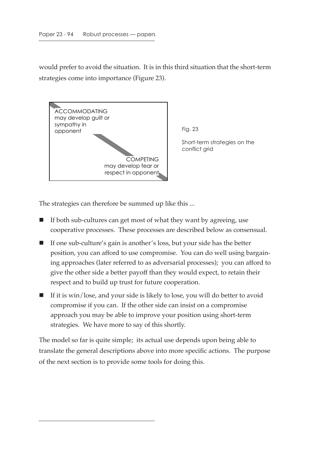would prefer to avoid the situation. It is in this third situation that the short-term strategies come into importance (Figure 23).



Fig. 23

Short-term strategies on the conflict grid

The strategies can therefore be summed up like this ...

- $\blacksquare$  If both sub-cultures can get most of what they want by agreeing, use cooperative processes. These processes are described below as consensual.
- If one sub-culture's gain is another's loss, but your side has the better position, you can afford to use compromise. You can do well using bargaining approaches (later referred to as adversarial processes); you can afford to give the other side a better payoff than they would expect, to retain their respect and to build up trust for future cooperation.
- $\blacksquare$  If it is win/lose, and your side is likely to lose, you will do better to avoid compromise if you can. If the other side can insist on a compromise approach you may be able to improve your position using short-term strategies. We have more to say of this shortly.

The model so far is quite simple; its actual use depends upon being able to translate the general descriptions above into more specific actions. The purpose of the next section is to provide some tools for doing this.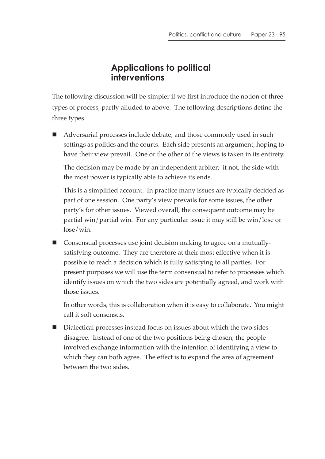### **Applications to political interventions**

The following discussion will be simpler if we first introduce the notion of three types of process, partly alluded to above. The following descriptions define the three types.

 Adversarial processes include debate, and those commonly used in such settings as politics and the courts. Each side presents an argument, hoping to have their view prevail. One or the other of the views is taken in its entirety.

The decision may be made by an independent arbiter; if not, the side with the most power is typically able to achieve its ends.

This is a simplified account. In practice many issues are typically decided as part of one session. One party's view prevails for some issues, the other party's for other issues. Viewed overall, the consequent outcome may be partial win/partial win. For any particular issue it may still be win/lose or lose/win.

■ Consensual processes use joint decision making to agree on a mutuallysatisfying outcome. They are therefore at their most effective when it is possible to reach a decision which is fully satisfying to all parties. For present purposes we will use the term consensual to refer to processes which identify issues on which the two sides are potentially agreed, and work with those issues.

In other words, this is collaboration when it is easy to collaborate. You might call it soft consensus.

 Dialectical processes instead focus on issues about which the two sides disagree. Instead of one of the two positions being chosen, the people involved exchange information with the intention of identifying a view to which they can both agree. The effect is to expand the area of agreement between the two sides.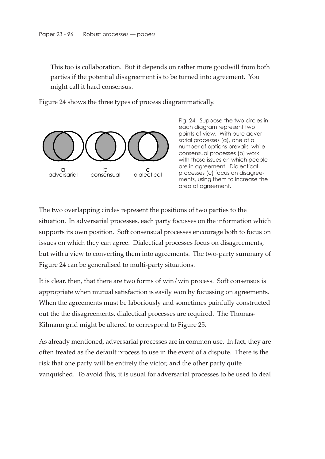This too is collaboration. But it depends on rather more goodwill from both parties if the potential disagreement is to be turned into agreement. You might call it hard consensus.

Figure 24 shows the three types of process diagrammatically.



Fig. 24. Suppose the two circles in each diagram represent two points of view. With pure adversarial processes (a), one of a number of options prevails, while consensual processes (b) work with those issues on which people are in agreement. Dialectical processes (c) focus on disagreements, using them to increase the area of agreement.

The two overlapping circles represent the positions of two parties to the situation. In adversarial processes, each party focusses on the information which supports its own position. Soft consensual processes encourage both to focus on issues on which they can agree. Dialectical processes focus on disagreements, but with a view to converting them into agreements. The two-party summary of Figure 24 can be generalised to multi-party situations.

It is clear, then, that there are two forms of win/win process. Soft consensus is appropriate when mutual satisfaction is easily won by focussing on agreements. When the agreements must be laboriously and sometimes painfully constructed out the the disagreements, dialectical processes are required. The Thomas-Kilmann grid might be altered to correspond to Figure 25.

As already mentioned, adversarial processes are in common use. In fact, they are often treated as the default process to use in the event of a dispute. There is the risk that one party will be entirely the victor, and the other party quite vanquished. To avoid this, it is usual for adversarial processes to be used to deal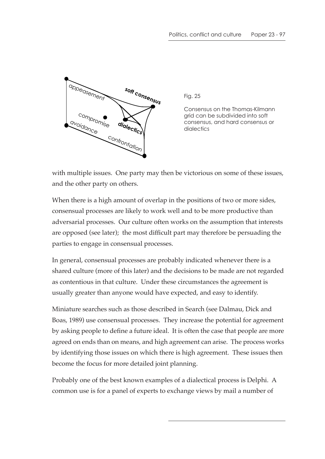

Fig. 25

Consensus on the Thomas-Kilmann grid can be subdivided into soft consensus, and hard consensus or dialectics

with multiple issues. One party may then be victorious on some of these issues, and the other party on others.

When there is a high amount of overlap in the positions of two or more sides, consensual processes are likely to work well and to be more productive than adversarial processes. Our culture often works on the assumption that interests are opposed (see later); the most difficult part may therefore be persuading the parties to engage in consensual processes.

In general, consensual processes are probably indicated whenever there is a shared culture (more of this later) and the decisions to be made are not regarded as contentious in that culture. Under these circumstances the agreement is usually greater than anyone would have expected, and easy to identify.

Miniature searches such as those described in Search (see Dalmau, Dick and Boas, 1989) use consensual processes. They increase the potential for agreement by asking people to define a future ideal. It is often the case that people are more agreed on ends than on means, and high agreement can arise. The process works by identifying those issues on which there is high agreement. These issues then become the focus for more detailed joint planning.

Probably one of the best known examples of a dialectical process is Delphi. A common use is for a panel of experts to exchange views by mail a number of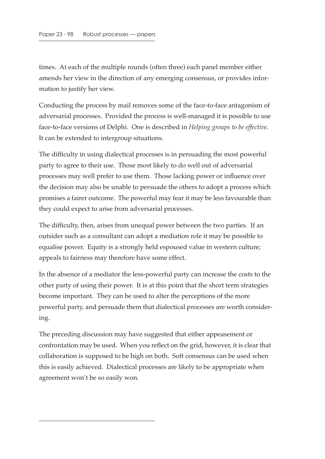times. At each of the multiple rounds (often three) each panel member either amends her view in the direction of any emerging consensus, or provides information to justify her view.

Conducting the process by mail removes some of the face-to-face antagonism of adversarial processes. Provided the process is well-managed it is possible to use face-to-face versions of Delphi. One is described in *Helping groups to be effective*. It can be extended to intergroup situations.

The difficulty in using dialectical processes is in persuading the most powerful party to agree to their use. Those most likely to do well out of adversarial processes may well prefer to use them. Those lacking power or influence over the decision may also be unable to persuade the others to adopt a process which promises a fairer outcome. The powerful may fear it may be less favourable than they could expect to arise from adversarial processes.

The difficulty, then, arises from unequal power between the two parties. If an outsider such as a consultant can adopt a mediation role it may be possible to equalise power. Equity is a strongly held espoused value in western culture; appeals to fairness may therefore have some effect.

In the absence of a mediator the less-powerful party can increase the costs to the other party of using their power. It is at this point that the short term strategies become important. They can be used to alter the perceptions of the more powerful party, and persuade them that dialectical processes are worth considering.

The preceding discussion may have suggested that either appeasement or confrontation may be used. When you reflect on the grid, however, it is clear that collaboration is supposed to be high on both. Soft consensus can be used when this is easily achieved. Dialectical processes are likely to be appropriate when agreement won't be so easily won.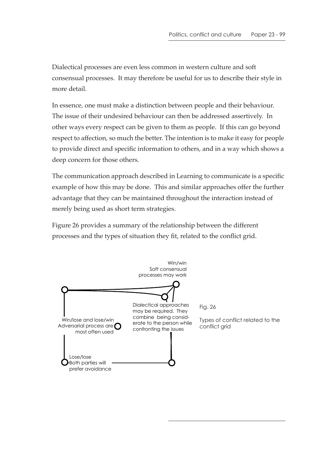Dialectical processes are even less common in western culture and soft consensual processes. It may therefore be useful for us to describe their style in more detail.

In essence, one must make a distinction between people and their behaviour. The issue of their undesired behaviour can then be addressed assertively. In other ways every respect can be given to them as people. If this can go beyond respect to affection, so much the better. The intention is to make it easy for people to provide direct and specific information to others, and in a way which shows a deep concern for those others.

The communication approach described in Learning to communicate is a specific example of how this may be done. This and similar approaches offer the further advantage that they can be maintained throughout the interaction instead of merely being used as short term strategies.

Figure 26 provides a summary of the relationship between the different processes and the types of situation they fit, related to the conflict grid.

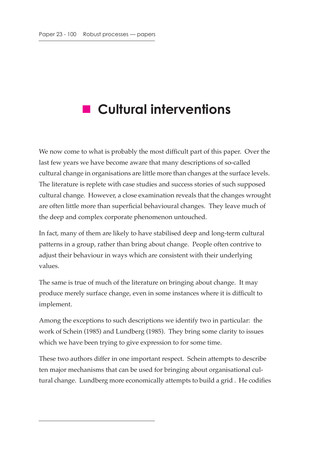# **Cultural interventions**

We now come to what is probably the most difficult part of this paper. Over the last few years we have become aware that many descriptions of so-called cultural change in organisations are little more than changes at the surface levels. The literature is replete with case studies and success stories of such supposed cultural change. However, a close examination reveals that the changes wrought are often little more than superficial behavioural changes. They leave much of the deep and complex corporate phenomenon untouched.

In fact, many of them are likely to have stabilised deep and long-term cultural patterns in a group, rather than bring about change. People often contrive to adjust their behaviour in ways which are consistent with their underlying values.

The same is true of much of the literature on bringing about change. It may produce merely surface change, even in some instances where it is difficult to implement.

Among the exceptions to such descriptions we identify two in particular: the work of Schein (1985) and Lundberg (1985). They bring some clarity to issues which we have been trying to give expression to for some time.

These two authors differ in one important respect. Schein attempts to describe ten major mechanisms that can be used for bringing about organisational cultural change. Lundberg more economically attempts to build a grid . He codifies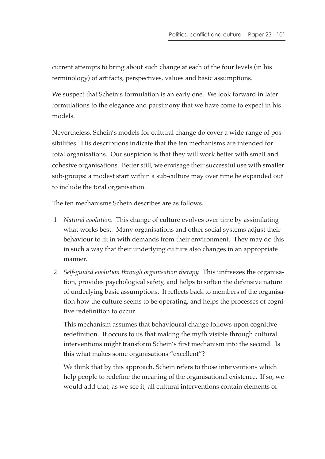current attempts to bring about such change at each of the four levels (in his terminology) of artifacts, perspectives, values and basic assumptions.

We suspect that Schein's formulation is an early one. We look forward in later formulations to the elegance and parsimony that we have come to expect in his models.

Nevertheless, Schein's models for cultural change do cover a wide range of possibilities. His descriptions indicate that the ten mechanisms are intended for total organisations. Our suspicion is that they will work better with small and cohesive organisations. Better still, we envisage their successful use with smaller sub-groups: a modest start within a sub-culture may over time be expanded out to include the total organisation.

The ten mechanisms Schein describes are as follows.

- 1 *Natural evolution*. This change of culture evolves over time by assimilating what works best. Many organisations and other social systems adjust their behaviour to fit in with demands from their environment. They may do this in such a way that their underlying culture also changes in an appropriate manner.
- 2 *Self-guided evolution through organisation therapy*. This unfreezes the organisation, provides psychological safety, and helps to soften the defensive nature of underlying basic assumptions. It reflects back to members of the organisation how the culture seems to be operating, and helps the processes of cognitive redefinition to occur.

This mechanism assumes that behavioural change follows upon cognitive redefinition. It occurs to us that making the myth visible through cultural interventions might transform Schein's first mechanism into the second. Is this what makes some organisations "excellent"?

We think that by this approach, Schein refers to those interventions which help people to redefine the meaning of the organisational existence. If so, we would add that, as we see it, all cultural interventions contain elements of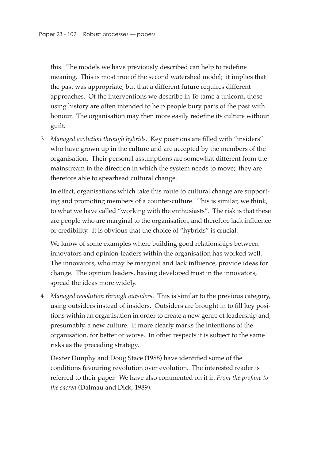this. The models we have previously described can help to redefine meaning. This is most true of the second watershed model; it implies that the past was appropriate, but that a different future requires different approaches. Of the interventions we describe in To tame a unicorn, those using history are often intended to help people bury parts of the past with honour. The organisation may then more easily redefine its culture without guilt.

 3 *Managed evolution through hybrids*. Key positions are filled with "insiders" who have grown up in the culture and are accepted by the members of the organisation. Their personal assumptions are somewhat different from the mainstream in the direction in which the system needs to move; they are therefore able to spearhead cultural change.

In effect, organisations which take this route to cultural change are supporting and promoting members of a counter-culture. This is similar, we think, to what we have called "working with the enthusiasts". The risk is that these are people who are marginal to the organisation, and therefore lack influence or credibility. It is obvious that the choice of "hybrids" is crucial.

We know of some examples where building good relationships between innovators and opinion-leaders within the organisation has worked well. The innovators, who may be marginal and lack influence, provide ideas for change. The opinion leaders, having developed trust in the innovators, spread the ideas more widely.

 4 *Managed revolution through outsiders*. This is similar to the previous category, using outsiders instead of insiders. Outsiders are brought in to fill key positions within an organisation in order to create a new genre of leadership and, presumably, a new culture. It more clearly marks the intentions of the organisation, for better or worse. In other respects it is subject to the same risks as the preceding strategy.

Dexter Dunphy and Doug Stace (1988) have identified some of the conditions favouring revolution over evolution. The interested reader is referred to their paper. We have also commented on it in *From the profane to the sacred* (Dalmau and Dick, 1989).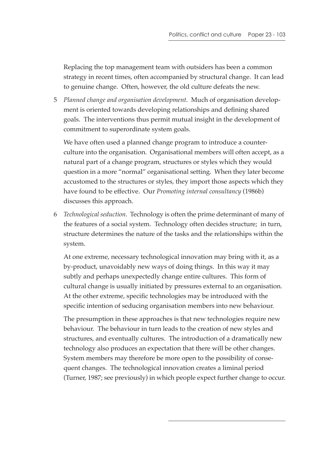Replacing the top management team with outsiders has been a common strategy in recent times, often accompanied by structural change. It can lead to genuine change. Often, however, the old culture defeats the new.

 5 *Planned change and organisation development*. Much of organisation development is oriented towards developing relationships and defining shared goals. The interventions thus permit mutual insight in the development of commitment to superordinate system goals.

We have often used a planned change program to introduce a counterculture into the organisation. Organisational members will often accept, as a natural part of a change program, structures or styles which they would question in a more "normal" organisational setting. When they later become accustomed to the structures or styles, they import those aspects which they have found to be effective. Our *Promoting internal consultancy* (1986b) discusses this approach.

 6 *Technological seduction*. Technology is often the prime determinant of many of the features of a social system. Technology often decides structure; in turn, structure determines the nature of the tasks and the relationships within the system.

At one extreme, necessary technological innovation may bring with it, as a by-product, unavoidably new ways of doing things. In this way it may subtly and perhaps unexpectedly change entire cultures. This form of cultural change is usually initiated by pressures external to an organisation. At the other extreme, specific technologies may be introduced with the specific intention of seducing organisation members into new behaviour.

The presumption in these approaches is that new technologies require new behaviour. The behaviour in turn leads to the creation of new styles and structures, and eventually cultures. The introduction of a dramatically new technology also produces an expectation that there will be other changes. System members may therefore be more open to the possibility of consequent changes. The technological innovation creates a liminal period (Turner, 1987; see previously) in which people expect further change to occur.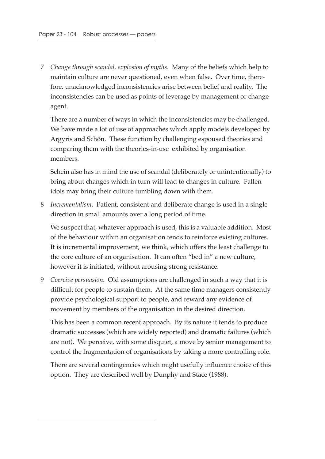7 *Change through scandal, explosion of myths*. Many of the beliefs which help to maintain culture are never questioned, even when false. Over time, therefore, unacknowledged inconsistencies arise between belief and reality. The inconsistencies can be used as points of leverage by management or change agent.

There are a number of ways in which the inconsistencies may be challenged. We have made a lot of use of approaches which apply models developed by Argyris and Schön. These function by challenging espoused theories and comparing them with the theories-in-use exhibited by organisation members.

Schein also has in mind the use of scandal (deliberately or unintentionally) to bring about changes which in turn will lead to changes in culture. Fallen idols may bring their culture tumbling down with them.

 8 *Incrementalism*. Patient, consistent and deliberate change is used in a single direction in small amounts over a long period of time.

We suspect that, whatever approach is used, this is a valuable addition. Most of the behaviour within an organisation tends to reinforce existing cultures. It is incremental improvement, we think, which offers the least challenge to the core culture of an organisation. It can often "bed in" a new culture, however it is initiated, without arousing strong resistance.

 9 *Coercive persuasion*. Old assumptions are challenged in such a way that it is difficult for people to sustain them. At the same time managers consistently provide psychological support to people, and reward any evidence of movement by members of the organisation in the desired direction.

This has been a common recent approach. By its nature it tends to produce dramatic successes (which are widely reported) and dramatic failures (which are not). We perceive, with some disquiet, a move by senior management to control the fragmentation of organisations by taking a more controlling role.

There are several contingencies which might usefully influence choice of this option. They are described well by Dunphy and Stace (1988).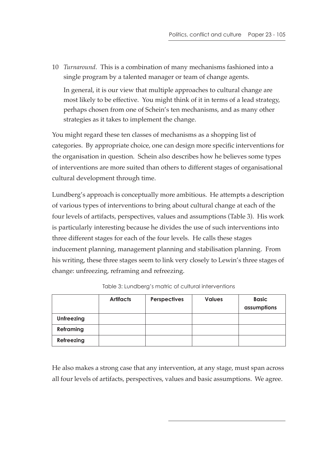10 *Turnaround*. This is a combination of many mechanisms fashioned into a single program by a talented manager or team of change agents.

In general, it is our view that multiple approaches to cultural change are most likely to be effective. You might think of it in terms of a lead strategy, perhaps chosen from one of Schein's ten mechanisms, and as many other strategies as it takes to implement the change.

You might regard these ten classes of mechanisms as a shopping list of categories. By appropriate choice, one can design more specific interventions for the organisation in question. Schein also describes how he believes some types of interventions are more suited than others to different stages of organisational cultural development through time.

Lundberg's approach is conceptually more ambitious. He attempts a description of various types of interventions to bring about cultural change at each of the four levels of artifacts, perspectives, values and assumptions (Table 3). His work is particularly interesting because he divides the use of such interventions into three different stages for each of the four levels. He calls these stages inducement planning, management planning and stabilisation planning. From his writing, these three stages seem to link very closely to Lewin's three stages of change: unfreezing, reframing and refreezing.

|                   | <b>Artifacts</b> | Perspectives | <b>Values</b> | <b>Basic</b><br>assumptions |
|-------------------|------------------|--------------|---------------|-----------------------------|
| <b>Unfreezing</b> |                  |              |               |                             |
| <b>Reframing</b>  |                  |              |               |                             |
| Refreezing        |                  |              |               |                             |

Table 3: Lundberg's matric of cultural interventions

He also makes a strong case that any intervention, at any stage, must span across all four levels of artifacts, perspectives, values and basic assumptions. We agree.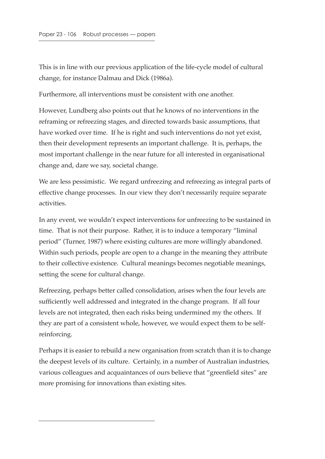This is in line with our previous application of the life-cycle model of cultural change, for instance Dalmau and Dick (1986a).

Furthermore, all interventions must be consistent with one another.

However, Lundberg also points out that he knows of no interventions in the reframing or refreezing stages, and directed towards basic assumptions, that have worked over time. If he is right and such interventions do not yet exist, then their development represents an important challenge. It is, perhaps, the most important challenge in the near future for all interested in organisational change and, dare we say, societal change.

We are less pessimistic. We regard unfreezing and refreezing as integral parts of effective change processes. In our view they don't necessarily require separate activities.

In any event, we wouldn't expect interventions for unfreezing to be sustained in time. That is not their purpose. Rather, it is to induce a temporary "liminal period" (Turner, 1987) where existing cultures are more willingly abandoned. Within such periods, people are open to a change in the meaning they attribute to their collective existence. Cultural meanings becomes negotiable meanings, setting the scene for cultural change.

Refreezing, perhaps better called consolidation, arises when the four levels are sufficiently well addressed and integrated in the change program. If all four levels are not integrated, then each risks being undermined my the others. If they are part of a consistent whole, however, we would expect them to be selfreinforcing.

Perhaps it is easier to rebuild a new organisation from scratch than it is to change the deepest levels of its culture. Certainly, in a number of Australian industries, various colleagues and acquaintances of ours believe that "greenfield sites" are more promising for innovations than existing sites.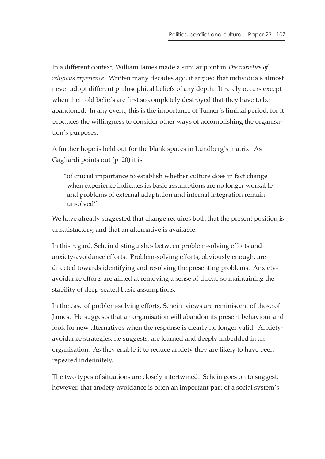In a different context, William James made a similar point in *The varieties of religious experience*. Written many decades ago, it argued that individuals almost never adopt different philosophical beliefs of any depth. It rarely occurs except when their old beliefs are first so completely destroyed that they have to be abandoned. In any event, this is the importance of Turner's liminal period, for it produces the willingness to consider other ways of accomplishing the organisation's purposes.

A further hope is held out for the blank spaces in Lundberg's matrix. As Gagliardi points out (p120) it is

"of crucial importance to establish whether culture does in fact change when experience indicates its basic assumptions are no longer workable and problems of external adaptation and internal integration remain unsolved".

We have already suggested that change requires both that the present position is unsatisfactory, and that an alternative is available.

In this regard, Schein distinguishes between problem-solving efforts and anxiety-avoidance efforts. Problem-solving efforts, obviously enough, are directed towards identifying and resolving the presenting problems. Anxietyavoidance efforts are aimed at removing a sense of threat, so maintaining the stability of deep-seated basic assumptions.

In the case of problem-solving efforts, Schein views are reminiscent of those of James. He suggests that an organisation will abandon its present behaviour and look for new alternatives when the response is clearly no longer valid. Anxietyavoidance strategies, he suggests, are learned and deeply imbedded in an organisation. As they enable it to reduce anxiety they are likely to have been repeated indefinitely.

The two types of situations are closely intertwined. Schein goes on to suggest, however, that anxiety-avoidance is often an important part of a social system's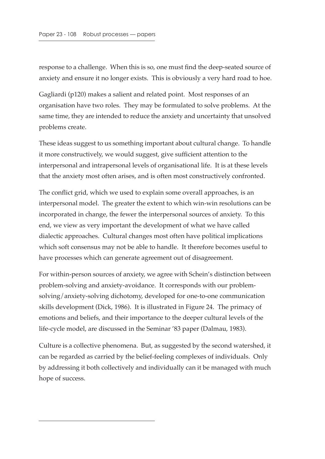response to a challenge. When this is so, one must find the deep-seated source of anxiety and ensure it no longer exists. This is obviously a very hard road to hoe.

Gagliardi (p120) makes a salient and related point. Most responses of an organisation have two roles. They may be formulated to solve problems. At the same time, they are intended to reduce the anxiety and uncertainty that unsolved problems create.

These ideas suggest to us something important about cultural change. To handle it more constructively, we would suggest, give sufficient attention to the interpersonal and intrapersonal levels of organisational life. It is at these levels that the anxiety most often arises, and is often most constructively confronted.

The conflict grid, which we used to explain some overall approaches, is an interpersonal model. The greater the extent to which win-win resolutions can be incorporated in change, the fewer the interpersonal sources of anxiety. To this end, we view as very important the development of what we have called dialectic approaches. Cultural changes most often have political implications which soft consensus may not be able to handle. It therefore becomes useful to have processes which can generate agreement out of disagreement.

For within-person sources of anxiety, we agree with Schein's distinction between problem-solving and anxiety-avoidance. It corresponds with our problemsolving/anxiety-solving dichotomy, developed for one-to-one communication skills development (Dick, 1986). It is illustrated in Figure 24. The primacy of emotions and beliefs, and their importance to the deeper cultural levels of the life-cycle model, are discussed in the Seminar '83 paper (Dalmau, 1983).

Culture is a collective phenomena. But, as suggested by the second watershed, it can be regarded as carried by the belief-feeling complexes of individuals. Only by addressing it both collectively and individually can it be managed with much hope of success.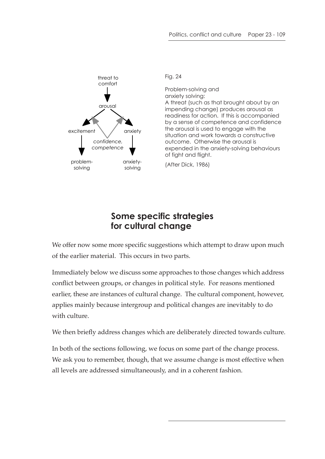

Fig. 24

Problem-solving and anxiety solving: A threat (such as that brought about by an impending change) produces arousal as readiness for action. If this is accompanied by a sense of competence and confidence the arousal is used to engage with the situation and work towards a constructive outcome. Otherwise the arousal is expended in the anxiety-solving behaviours of fight and flight.

(After Dick, 1986)

## **Some specific strategies for cultural change**

We offer now some more specific suggestions which attempt to draw upon much of the earlier material. This occurs in two parts.

Immediately below we discuss some approaches to those changes which address conflict between groups, or changes in political style. For reasons mentioned earlier, these are instances of cultural change. The cultural component, however, applies mainly because intergroup and political changes are inevitably to do with culture.

We then briefly address changes which are deliberately directed towards culture.

In both of the sections following, we focus on some part of the change process. We ask you to remember, though, that we assume change is most effective when all levels are addressed simultaneously, and in a coherent fashion.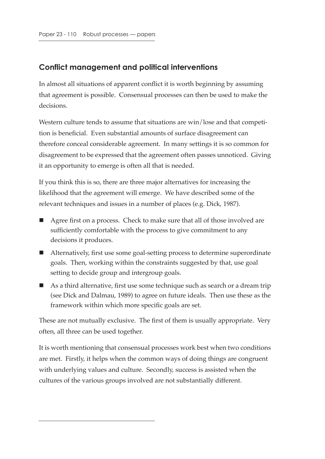#### **Conflict management and political interventions**

In almost all situations of apparent conflict it is worth beginning by assuming that agreement is possible. Consensual processes can then be used to make the decisions.

Western culture tends to assume that situations are win/lose and that competition is beneficial. Even substantial amounts of surface disagreement can therefore conceal considerable agreement. In many settings it is so common for disagreement to be expressed that the agreement often passes unnoticed. Giving it an opportunity to emerge is often all that is needed.

If you think this is so, there are three major alternatives for increasing the likelihood that the agreement will emerge. We have described some of the relevant techniques and issues in a number of places (e.g. Dick, 1987).

- Agree first on a process. Check to make sure that all of those involved are sufficiently comfortable with the process to give commitment to any decisions it produces.
- Alternatively, first use some goal-setting process to determine superordinate goals. Then, working within the constraints suggested by that, use goal setting to decide group and intergroup goals.
- As a third alternative, first use some technique such as search or a dream trip (see Dick and Dalmau, 1989) to agree on future ideals. Then use these as the framework within which more specific goals are set.

These are not mutually exclusive. The first of them is usually appropriate. Very often, all three can be used together.

It is worth mentioning that consensual processes work best when two conditions are met. Firstly, it helps when the common ways of doing things are congruent with underlying values and culture. Secondly, success is assisted when the cultures of the various groups involved are not substantially different.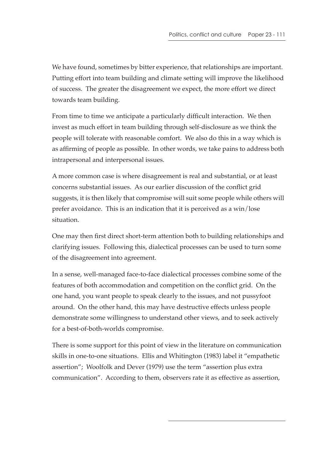We have found, sometimes by bitter experience, that relationships are important. Putting effort into team building and climate setting will improve the likelihood of success. The greater the disagreement we expect, the more effort we direct towards team building.

From time to time we anticipate a particularly difficult interaction. We then invest as much effort in team building through self-disclosure as we think the people will tolerate with reasonable comfort. We also do this in a way which is as affirming of people as possible. In other words, we take pains to address both intrapersonal and interpersonal issues.

A more common case is where disagreement is real and substantial, or at least concerns substantial issues. As our earlier discussion of the conflict grid suggests, it is then likely that compromise will suit some people while others will prefer avoidance. This is an indication that it is perceived as a win/lose situation.

One may then first direct short-term attention both to building relationships and clarifying issues. Following this, dialectical processes can be used to turn some of the disagreement into agreement.

In a sense, well-managed face-to-face dialectical processes combine some of the features of both accommodation and competition on the conflict grid. On the one hand, you want people to speak clearly to the issues, and not pussyfoot around. On the other hand, this may have destructive effects unless people demonstrate some willingness to understand other views, and to seek actively for a best-of-both-worlds compromise.

There is some support for this point of view in the literature on communication skills in one-to-one situations. Ellis and Whitington (1983) label it "empathetic assertion"; Woolfolk and Dever (1979) use the term "assertion plus extra communication". According to them, observers rate it as effective as assertion,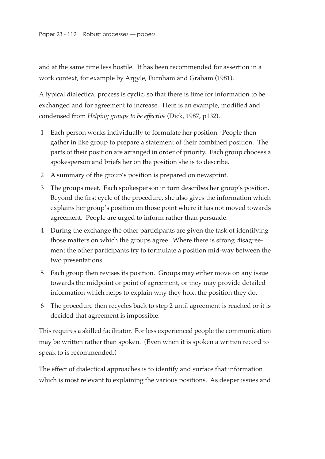and at the same time less hostile. It has been recommended for assertion in a work context, for example by Argyle, Furnham and Graham (1981).

A typical dialectical process is cyclic, so that there is time for information to be exchanged and for agreement to increase. Here is an example, modified and condensed from *Helping groups to be effective* (Dick, 1987, p132).

- 1 Each person works individually to formulate her position. People then gather in like group to prepare a statement of their combined position. The parts of their position are arranged in order of priority. Each group chooses a spokesperson and briefs her on the position she is to describe.
- 2 A summary of the group's position is prepared on newsprint.
- 3 The groups meet. Each spokesperson in turn describes her group's position. Beyond the first cycle of the procedure, she also gives the information which explains her group's position on those point where it has not moved towards agreement. People are urged to inform rather than persuade.
- 4 During the exchange the other participants are given the task of identifying those matters on which the groups agree. Where there is strong disagreement the other participants try to formulate a position mid-way between the two presentations.
- 5 Each group then revises its position. Groups may either move on any issue towards the midpoint or point of agreement, or they may provide detailed information which helps to explain why they hold the position they do.
- 6 The procedure then recycles back to step 2 until agreement is reached or it is decided that agreement is impossible.

This requires a skilled facilitator. For less experienced people the communication may be written rather than spoken. (Even when it is spoken a written record to speak to is recommended.)

The effect of dialectical approaches is to identify and surface that information which is most relevant to explaining the various positions. As deeper issues and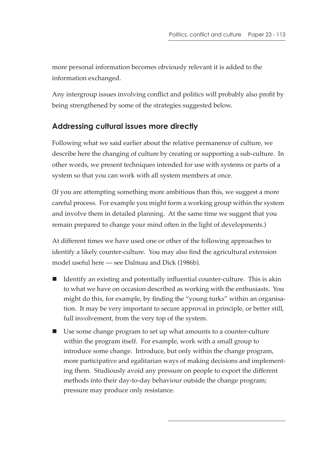more personal information becomes obviously relevant it is added to the information exchanged.

Any intergroup issues involving conflict and politics will probably also profit by being strengthened by some of the strategies suggested below.

### **Addressing cultural issues more directly**

Following what we said earlier about the relative permanence of culture, we describe here the changing of culture by creating or supporting a sub-culture. In other words, we present techniques intended for use with systems or parts of a system so that you can work with all system members at once.

(If you are attempting something more ambitious than this, we suggest a more careful process. For example you might form a working group within the system and involve them in detailed planning. At the same time we suggest that you remain prepared to change your mind often in the light of developments.)

At different times we have used one or other of the following approaches to identify a likely counter-culture. You may also find the agricultural extension model useful here — see Dalmau and Dick (1986b).

- If Identify an existing and potentially influential counter-culture. This is akin to what we have on occasion described as working with the enthusiasts. You might do this, for example, by finding the "young turks" within an organisation. It may be very important to secure approval in principle, or better still, full involvement, from the very top of the system.
- Use some change program to set up what amounts to a counter-culture within the program itself. For example, work with a small group to introduce some change. Introduce, but only within the change program, more participative and egalitarian ways of making decisions and implementing them. Studiously avoid any pressure on people to export the different methods into their day-to-day behaviour outside the change program; pressure may produce only resistance.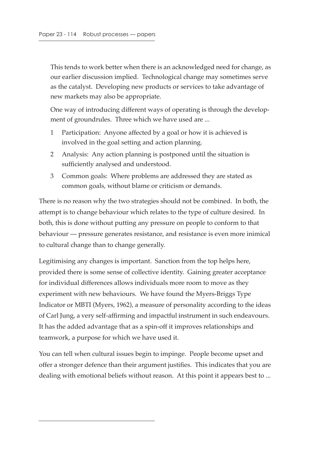This tends to work better when there is an acknowledged need for change, as our earlier discussion implied. Technological change may sometimes serve as the catalyst. Developing new products or services to take advantage of new markets may also be appropriate.

One way of introducing different ways of operating is through the development of groundrules. Three which we have used are ...

- 1 Participation: Anyone affected by a goal or how it is achieved is involved in the goal setting and action planning.
- 2 Analysis: Any action planning is postponed until the situation is sufficiently analysed and understood.
- 3 Common goals: Where problems are addressed they are stated as common goals, without blame or criticism or demands.

There is no reason why the two strategies should not be combined. In both, the attempt is to change behaviour which relates to the type of culture desired. In both, this is done without putting any pressure on people to conform to that behaviour — pressure generates resistance, and resistance is even more inimical to cultural change than to change generally.

Legitimising any changes is important. Sanction from the top helps here, provided there is some sense of collective identity. Gaining greater acceptance for individual differences allows individuals more room to move as they experiment with new behaviours. We have found the Myers-Briggs Type Indicator or MBTI (Myers, 1962), a measure of personality according to the ideas of Carl Jung, a very self-affirming and impactful instrument in such endeavours. It has the added advantage that as a spin-off it improves relationships and teamwork, a purpose for which we have used it.

You can tell when cultural issues begin to impinge. People become upset and offer a stronger defence than their argument justifies. This indicates that you are dealing with emotional beliefs without reason. At this point it appears best to ...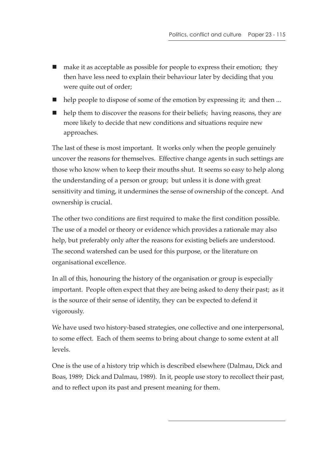- make it as acceptable as possible for people to express their emotion; they then have less need to explain their behaviour later by deciding that you were quite out of order;
- help people to dispose of some of the emotion by expressing it; and then ...
- help them to discover the reasons for their beliefs; having reasons, they are more likely to decide that new conditions and situations require new approaches.

The last of these is most important. It works only when the people genuinely uncover the reasons for themselves. Effective change agents in such settings are those who know when to keep their mouths shut. It seems so easy to help along the understanding of a person or group; but unless it is done with great sensitivity and timing, it undermines the sense of ownership of the concept. And ownership is crucial.

The other two conditions are first required to make the first condition possible. The use of a model or theory or evidence which provides a rationale may also help, but preferably only after the reasons for existing beliefs are understood. The second watershed can be used for this purpose, or the literature on organisational excellence.

In all of this, honouring the history of the organisation or group is especially important. People often expect that they are being asked to deny their past; as it is the source of their sense of identity, they can be expected to defend it vigorously.

We have used two history-based strategies, one collective and one interpersonal, to some effect. Each of them seems to bring about change to some extent at all levels.

One is the use of a history trip which is described elsewhere (Dalmau, Dick and Boas, 1989; Dick and Dalmau, 1989). In it, people use story to recollect their past, and to reflect upon its past and present meaning for them.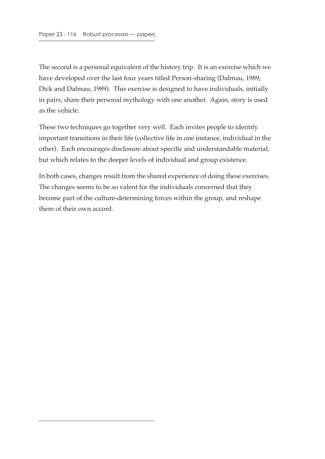The second is a personal equivalent of the history trip. It is an exercise which we have developed over the last four years titled Person-sharing (Dalmau, 1989; Dick and Dalmau, 1989). This exercise is designed to have individuals, initially in pairs, share their personal mythology with one another. Again, story is used as the vehicle.

These two techniques go together very well. Each invites people to identify important transitions in their life (collective life in one instance, individual in the other). Each encourages disclosure about specific and understandable material, but which relates to the deeper levels of individual and group existence.

In both cases, changes result from the shared experience of doing these exercises. The changes seems to be so valent for the individuals concerned that they become part of the culture-determining forces within the group, and reshape them of their own accord.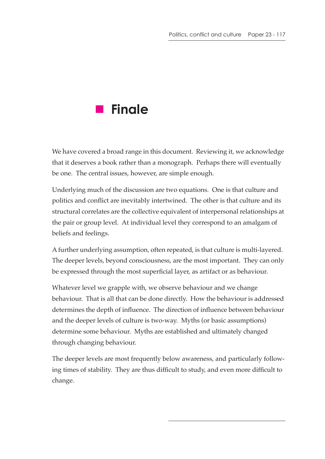# **Finale**

We have covered a broad range in this document. Reviewing it, we acknowledge that it deserves a book rather than a monograph. Perhaps there will eventually be one. The central issues, however, are simple enough.

Underlying much of the discussion are two equations. One is that culture and politics and conflict are inevitably intertwined. The other is that culture and its structural correlates are the collective equivalent of interpersonal relationships at the pair or group level. At individual level they correspond to an amalgam of beliefs and feelings.

A further underlying assumption, often repeated, is that culture is multi-layered. The deeper levels, beyond consciousness, are the most important. They can only be expressed through the most superficial layer, as artifact or as behaviour.

Whatever level we grapple with, we observe behaviour and we change behaviour. That is all that can be done directly. How the behaviour is addressed determines the depth of influence. The direction of influence between behaviour and the deeper levels of culture is two-way. Myths (or basic assumptions) determine some behaviour. Myths are established and ultimately changed through changing behaviour.

The deeper levels are most frequently below awareness, and particularly following times of stability. They are thus difficult to study, and even more difficult to change.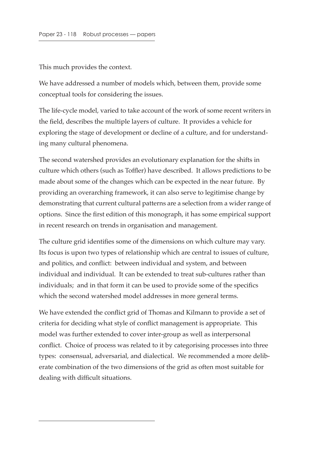This much provides the context.

We have addressed a number of models which, between them, provide some conceptual tools for considering the issues.

The life-cycle model, varied to take account of the work of some recent writers in the field, describes the multiple layers of culture. It provides a vehicle for exploring the stage of development or decline of a culture, and for understanding many cultural phenomena.

The second watershed provides an evolutionary explanation for the shifts in culture which others (such as Toffler) have described. It allows predictions to be made about some of the changes which can be expected in the near future. By providing an overarching framework, it can also serve to legitimise change by demonstrating that current cultural patterns are a selection from a wider range of options. Since the first edition of this monograph, it has some empirical support in recent research on trends in organisation and management.

The culture grid identifies some of the dimensions on which culture may vary. Its focus is upon two types of relationship which are central to issues of culture, and politics, and conflict: between individual and system, and between individual and individual. It can be extended to treat sub-cultures rather than individuals; and in that form it can be used to provide some of the specifics which the second watershed model addresses in more general terms.

We have extended the conflict grid of Thomas and Kilmann to provide a set of criteria for deciding what style of conflict management is appropriate. This model was further extended to cover inter-group as well as interpersonal conflict. Choice of process was related to it by categorising processes into three types: consensual, adversarial, and dialectical. We recommended a more deliberate combination of the two dimensions of the grid as often most suitable for dealing with difficult situations.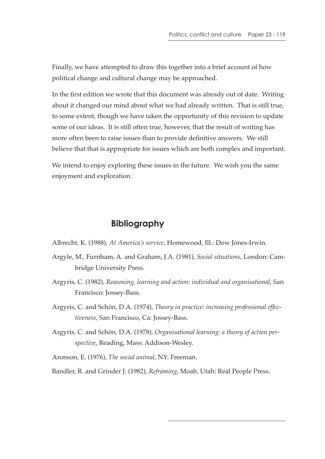Finally, we have attempted to draw this together into a brief account of how political change and cultural change may be approached.

In the first edition we wrote that this document was already out of date. Writing about it changed our mind about what we had already written. That is still true, to some extent, though we have taken the opportunity of this revision to update some of our ideas. It is still often true, however, that the result of writing has more often been to raise issues than to provide definitive answers. We still believe that that is appropriate for issues which are both complex and important.

We intend to enjoy exploring these issues in the future. We wish you the same enjoyment and exploration.

#### **Bibliography**

Albrecht, K. (1988), *At America's service*, Homewood, Ill.: Dow Jones-Irwin.

- Argyle, M., Furnham, A. and Graham, J.A. (1981), *Social situations*, London: Cambridge University Press.
- Argyris, C. (1982), *Reasoning, learning and action: individual and organisational*, San Francisco: Jossey-Bass.
- Argyris, C. and Schön, D.A. (1974), *Theory in practice: increasing professional effectiveness*, San Francisco, Ca: Jossey-Bass.
- Argyris, C. and Schön, D.A. (1978), *Organisational learning: a theory of action perspective*, Reading, Mass: Addison-Wesley.

Aronson, E. (1976), *The social animal*, NY: Freeman.

Bandler, R. and Grinder J. (1982), *Reframing*, Moab, Utah: Real People Press.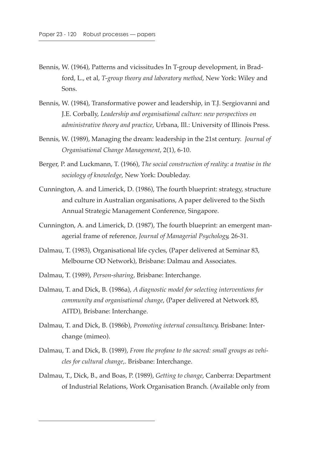- Bennis, W. (1964), Patterns and vicissitudes In T-group development, in Bradford, L., et al, *T-group theory and laboratory method*, New York: Wiley and Sons.
- Bennis, W. (1984), Transformative power and leadership, in T.J. Sergiovanni and J.E. Corbally, *Leadership and organisational culture: new perspectives on administrative theory and practice*, Urbana, Ill.: University of Illinois Press.
- Bennis, W. (1989), Managing the dream: leadership in the 21st century. *Journal of Organisational Change Management*, 2(1), 6-10.
- Berger, P. and Luckmann, T. (1966), *The social construction of reality: a treatise in the sociology of knowledge*, New York: Doubleday.
- Cunnington, A. and Limerick, D. (1986), The fourth blueprint: strategy, structure and culture in Australian organisations, A paper delivered to the Sixth Annual Strategic Management Conference, Singapore.
- Cunnington, A. and Limerick, D. (1987), The fourth blueprint: an emergent managerial frame of reference, *Journal of Managerial Psychology*, 26-31.
- Dalmau, T. (1983), Organisational life cycles, (Paper delivered at Seminar 83, Melbourne OD Network), Brisbane: Dalmau and Associates.
- Dalmau, T. (1989), *Person-sharing*, Brisbane: Interchange.
- Dalmau, T. and Dick, B. (1986a), *A diagnostic model for selecting interventions for community and organisational change*, (Paper delivered at Network 85, AITD), Brisbane: Interchange.
- Dalmau, T. and Dick, B. (1986b), *Promoting internal consultancy*. Brisbane: Interchange (mimeo).
- Dalmau, T. and Dick, B. (1989), *From the profane to the sacred: small groups as vehicles for cultural change*,. Brisbane: Interchange.
- Dalmau, T., Dick, B., and Boas, P. (1989), *Getting to change*, Canberra: Department of Industrial Relations, Work Organisation Branch. (Available only from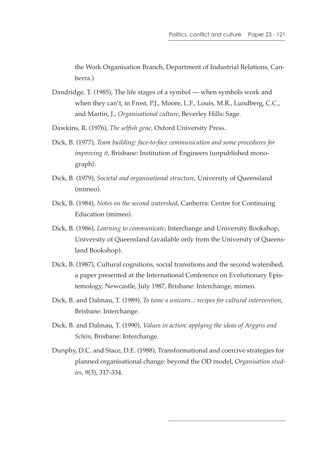the Work Organisation Branch, Department of Industrial Relations, Canberra.)

- Dandridge, T. (1985), The life stages of a symbol when symbols work and when they can't, in Frost, P.J., Moore, L.F., Louis, M.R., Lundberg, C.C., and Martin, J., *Organisational culture*, Beverley Hills: Sage.
- Dawkins, R. (1976), *The selfish gene*, Oxford University Press.
- Dick, B. (1977), *Team building: face-to-face communication and some procedures for improving it*, Brisbane: Institution of Engineers (unpublished monograph).
- Dick, B. (1979), *Societal and organisational structure*, University of Queensland (mimeo).
- Dick, B. (1984), *Notes on the second watershed*, Canberra: Centre for Continuing Education (mimeo).
- Dick, B. (1986), *Learning to communicate*, Interchange and University Bookshop, University of Queensland (available only from the University of Queensland Bookshop).
- Dick, B. (1987), Cultural cognitions, social transitions and the second watershed, a paper presented at the International Conference on Evolutionary Epistemology, Newcastle, July 1987, Brisbane: Interchange, mimeo.
- Dick, B. and Dalmau, T. (1989), *To tame a unicorn..: recipes for cultural intervention*, Brisbane: Interchange.
- Dick, B. and Dalmau, T. (1990), *Values in action: applying the ideas of Argyris and Schön*, Brisbane: Interchange.
- Dunphy, D.C. and Stace, D.E. (1988), Transformational and coercive strategies for planned organisational change: beyond the OD model, *Organisation studies*, 9(3), 317-334.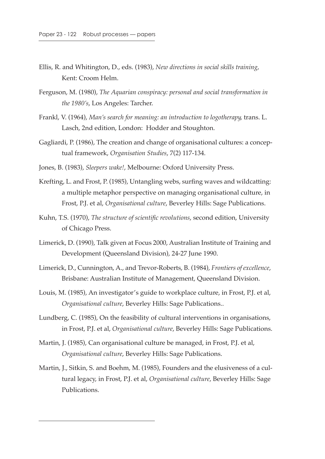- Ellis, R. and Whitington, D., eds. (1983), *New directions in social skills training*, Kent: Croom Helm.
- Ferguson, M. (1980), *The Aquarian conspiracy: personal and social transformation in the 1980's*, Los Angeles: Tarcher.
- Frankl, V. (1964), *Man's search for meaning: an introduction to logotherapy*, trans. L. Lasch, 2nd edition, London: Hodder and Stoughton.
- Gagliardi, P. (1986), The creation and change of organisational cultures: a conceptual framework, *Organisation Studies*, 7(2) 117-134.
- Jones, B. (1983), *Sleepers wake!*, Melbourne: Oxford University Press.
- Krefting, L. and Frost, P. (1985), Untangling webs, surfing waves and wildcatting: a multiple metaphor perspective on managing organisational culture, in Frost, P.J. et al, *Organisational culture*, Beverley Hills: Sage Publications.
- Kuhn, T.S. (1970), *The structure of scientific revolutions*, second edition, University of Chicago Press.
- Limerick, D. (1990), Talk given at Focus 2000, Australian Institute of Training and Development (Queensland Division), 24-27 June 1990.
- Limerick, D., Cunnington, A., and Trevor-Roberts, B. (1984), *Frontiers of excellence*, Brisbane: Australian Institute of Management, Queensland Division.
- Louis, M. (1985), An investigator's guide to workplace culture, in Frost, P.J. et al, *Organisational culture*, Beverley Hills: Sage Publications..
- Lundberg, C. (1985), On the feasibility of cultural interventions in organisations, in Frost, P.J. et al, *Organisational culture*, Beverley Hills: Sage Publications.
- Martin, J. (1985), Can organisational culture be managed, in Frost, P.J. et al, *Organisational culture*, Beverley Hills: Sage Publications.
- Martin, J., Sitkin, S. and Boehm, M. (1985), Founders and the elusiveness of a cultural legacy, in Frost, P.J. et al, *Organisational culture*, Beverley Hills: Sage Publications.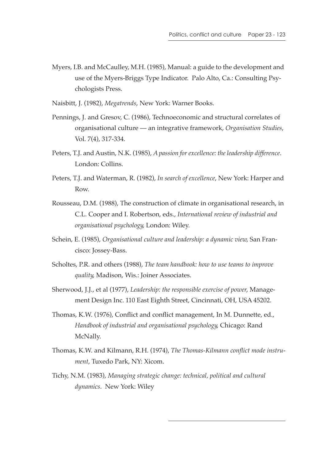Myers, I.B. and McCaulley, M.H. (1985), Manual: a guide to the development and use of the Myers-Briggs Type Indicator. Palo Alto, Ca.: Consulting Psychologists Press.

Naisbitt, J. (1982), *Megatrends*, New York: Warner Books.

- Pennings, J. and Gresov, C. (1986), Technoeconomic and structural correlates of organisational culture — an integrative framework, *Organisation Studies*, Vol. 7(4), 317-334.
- Peters, T.J. and Austin, N.K. (1985), *A passion for excellence: the leadership difference*. London: Collins.
- Peters, T.J. and Waterman, R. (1982), *In search of excellence*, New York: Harper and Row.
- Rousseau, D.M. (1988), The construction of climate in organisational research, in C.L. Cooper and I. Robertson, eds., *International review of industrial and organisational psychology*, London: Wiley.
- Schein, E. (1985), *Organisational culture and leadership: a dynamic view*, San Francisco: Jossey-Bass.
- Scholtes, P.R. and others (1988), *The team handbook: how to use teams to improve quality*, Madison, Wis.: Joiner Associates.
- Sherwood, J.J., et al (1977), *Leadership: the responsible exercise of power*, Management Design Inc. 110 East Eighth Street, Cincinnati, OH, USA 45202.
- Thomas, K.W. (1976), Conflict and conflict management, In M. Dunnette, ed., *Handbook of industrial and organisational psychology*, Chicago: Rand McNally.
- Thomas, K.W. and Kilmann, R.H. (1974), *The Thomas-Kilmann conflict mode instrument*, Tuxedo Park, NY: Xicom.
- Tichy, N.M. (1983), *Managing strategic change: technical, political and cultural dynamics*. New York: Wiley